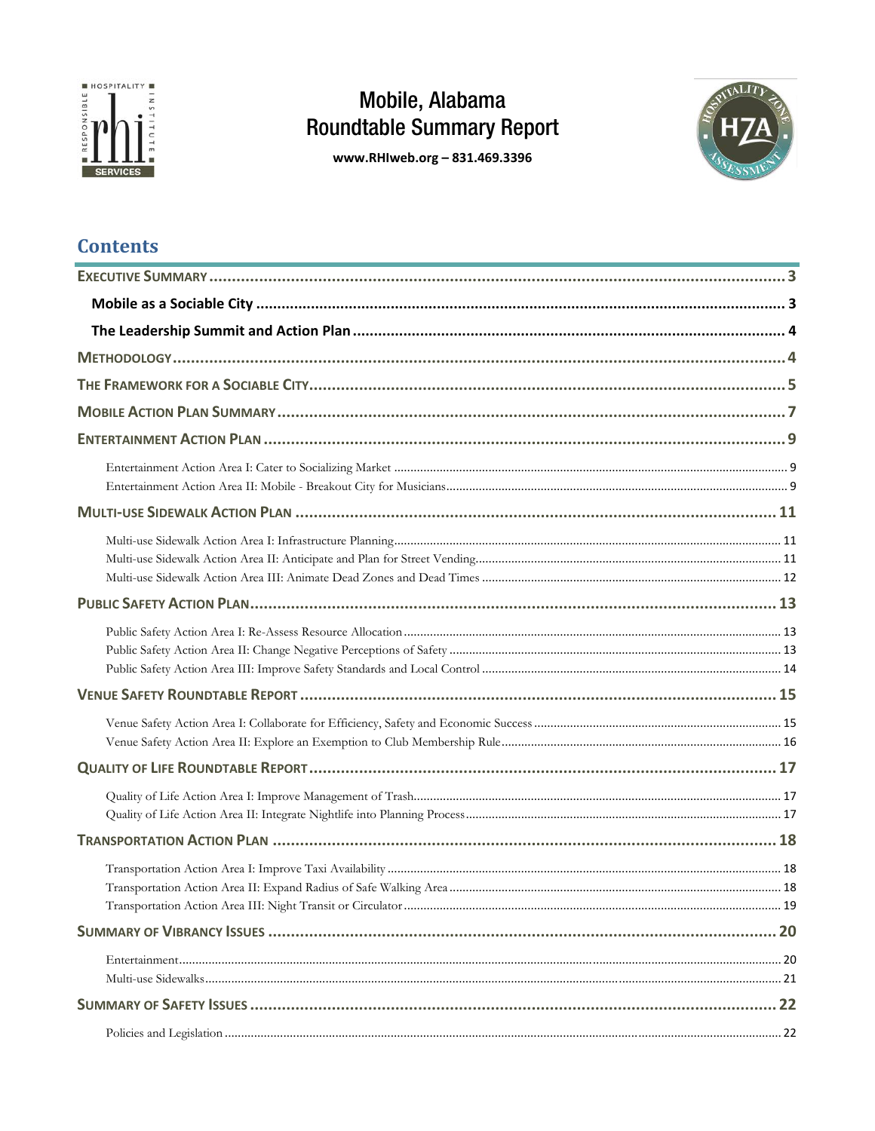

## Mobile, Alabama **Roundtable Summary Report**

www.RHIweb.org - 831.469.3396



## **Contents**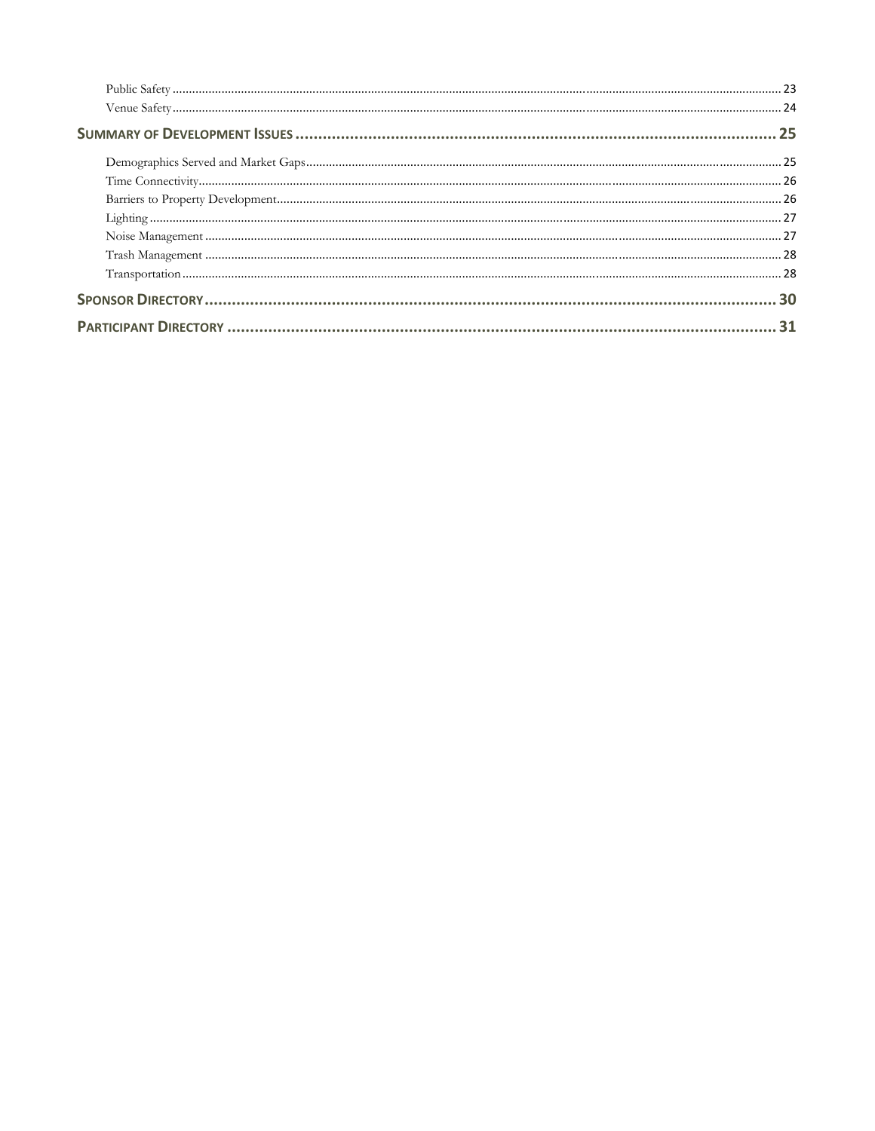| <u>Dances to Troperty Developmentalismus communications</u> |  |
|-------------------------------------------------------------|--|
|                                                             |  |
|                                                             |  |
|                                                             |  |
|                                                             |  |
|                                                             |  |
|                                                             |  |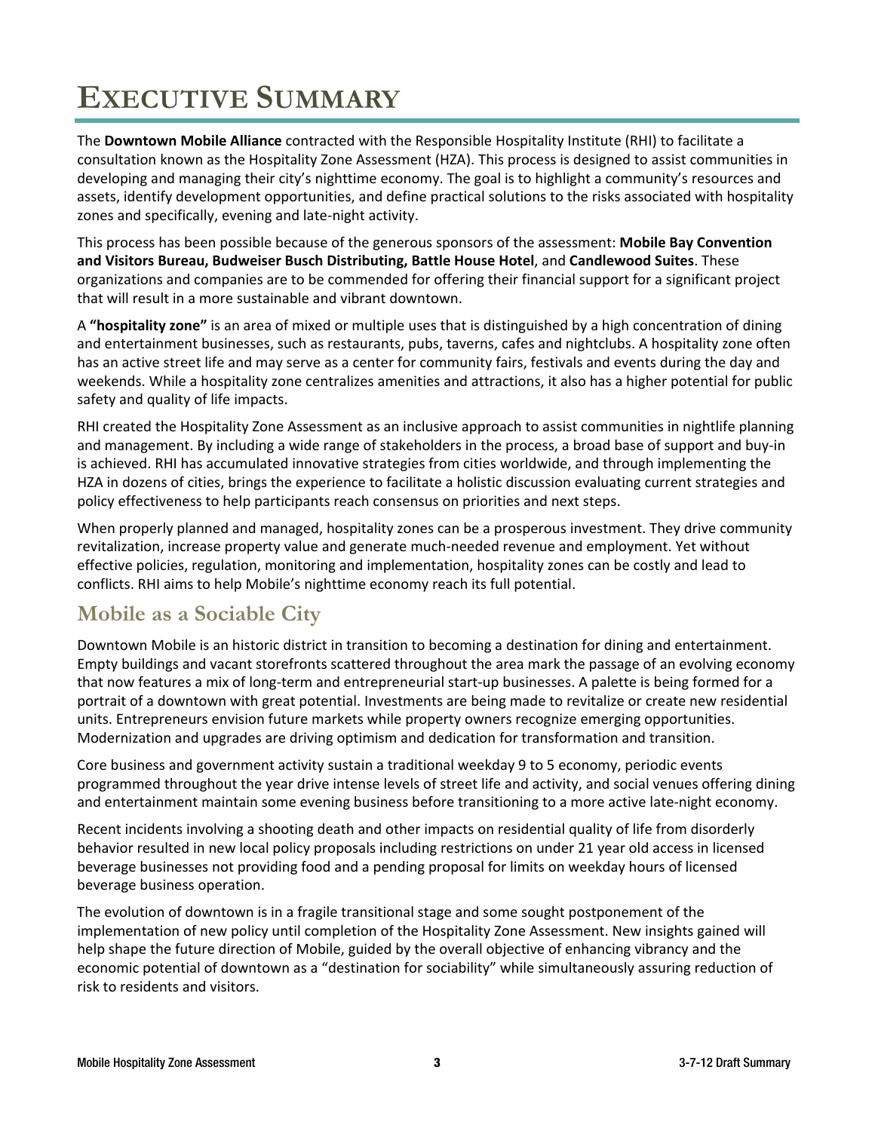# **EXECUTIVE SUMMARY**

The **Downtown Mobile Alliance** contracted with the Responsible Hospitality Institute (RHI) to facilitate a consultation known as the Hospitality Zone Assessment (HZA). This process is designed to assist communities in developing and managing their city's nighttime economy. The goal is to highlight a community's resources and assets, identify development opportunities, and define practical solutions to the risks associated with hospitality zones and specifically, evening and late‐night activity.

This process has been possible because of the generous sponsors of the assessment: **Mobile Bay Convention and Visitors Bureau, Budweiser Busch Distributing, Battle House Hotel**, and **Candlewood Suites**. These organizations and companies are to be commended for offering their financial support for a significant project that will result in a more sustainable and vibrant downtown.

A **"hospitality zone"** is an area of mixed or multiple uses that is distinguished by a high concentration of dining and entertainment businesses, such as restaurants, pubs, taverns, cafes and nightclubs. A hospitality zone often has an active street life and may serve as a center for community fairs, festivals and events during the day and weekends. While a hospitality zone centralizes amenities and attractions, it also has a higher potential for public safety and quality of life impacts.

RHI created the Hospitality Zone Assessment as an inclusive approach to assist communities in nightlife planning and management. By including a wide range of stakeholders in the process, a broad base of support and buy‐in is achieved. RHI has accumulated innovative strategies from cities worldwide, and through implementing the HZA in dozens of cities, brings the experience to facilitate a holistic discussion evaluating current strategies and policy effectiveness to help participants reach consensus on priorities and next steps.

When properly planned and managed, hospitality zones can be a prosperous investment. They drive community revitalization, increase property value and generate much‐needed revenue and employment. Yet without effective policies, regulation, monitoring and implementation, hospitality zones can be costly and lead to conflicts. RHI aims to help Mobile's nighttime economy reach its full potential.

## **Mobile as a Sociable City**

Downtown Mobile is an historic district in transition to becoming a destination for dining and entertainment. Empty buildings and vacant storefronts scattered throughout the area mark the passage of an evolving economy that now features a mix of long‐term and entrepreneurial start‐up businesses. A palette is being formed for a portrait of a downtown with great potential. Investments are being made to revitalize or create new residential units. Entrepreneurs envision future markets while property owners recognize emerging opportunities. Modernization and upgrades are driving optimism and dedication for transformation and transition.

Core business and government activity sustain a traditional weekday 9 to 5 economy, periodic events programmed throughout the year drive intense levels of street life and activity, and social venues offering dining and entertainment maintain some evening business before transitioning to a more active late-night economy.

Recent incidents involving a shooting death and other impacts on residential quality of life from disorderly behavior resulted in new local policy proposals including restrictions on under 21 year old access in licensed beverage businesses not providing food and a pending proposal for limits on weekday hours of licensed beverage business operation.

The evolution of downtown is in a fragile transitional stage and some sought postponement of the implementation of new policy until completion of the Hospitality Zone Assessment. New insights gained will help shape the future direction of Mobile, guided by the overall objective of enhancing vibrancy and the economic potential of downtown as a "destination for sociability" while simultaneously assuring reduction of risk to residents and visitors.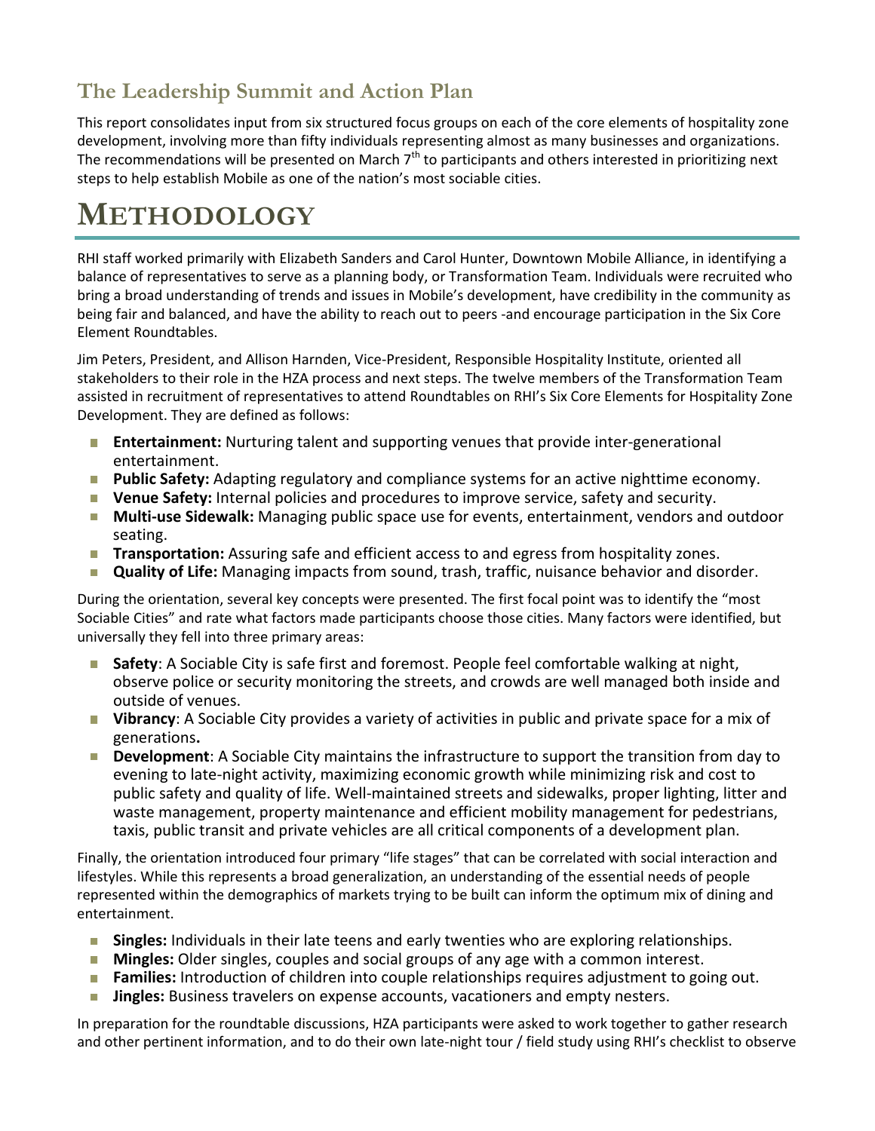## **The Leadership Summit and Action Plan**

This report consolidates input from six structured focus groups on each of the core elements of hospitality zone development, involving more than fifty individuals representing almost as many businesses and organizations. The recommendations will be presented on March  $7<sup>th</sup>$  to participants and others interested in prioritizing next steps to help establish Mobile as one of the nation's most sociable cities.

## **METHODOLOGY**

RHI staff worked primarily with Elizabeth Sanders and Carol Hunter, Downtown Mobile Alliance, in identifying a balance of representatives to serve as a planning body, or Transformation Team. Individuals were recruited who bring a broad understanding of trends and issues in Mobile's development, have credibility in the community as being fair and balanced, and have the ability to reach out to peers -and encourage participation in the Six Core Element Roundtables.

Jim Peters, President, and Allison Harnden, Vice‐President, Responsible Hospitality Institute, oriented all stakeholders to their role in the HZA process and next steps. The twelve members of the Transformation Team assisted in recruitment of representatives to attend Roundtables on RHI's Six Core Elements for Hospitality Zone Development. They are defined as follows:

- **Entertainment:** Nurturing talent and supporting venues that provide inter-generational entertainment.
- **Public Safety:** Adapting regulatory and compliance systems for an active nighttime economy.
- **Venue Safety:** Internal policies and procedures to improve service, safety and security.
- **Multi-use Sidewalk:** Managing public space use for events, entertainment, vendors and outdoor seating.
- **Transportation:** Assuring safe and efficient access to and egress from hospitality zones.
- **Quality of Life:** Managing impacts from sound, trash, traffic, nuisance behavior and disorder.

During the orientation, several key concepts were presented. The first focal point was to identify the "most Sociable Cities" and rate what factors made participants choose those cities. Many factors were identified, but universally they fell into three primary areas:

- **Safety**: A Sociable City is safe first and foremost. People feel comfortable walking at night,  $\overline{\phantom{a}}$ observe police or security monitoring the streets, and crowds are well managed both inside and outside of venues.
- **Vibrancy**: A Sociable City provides a variety of activities in public and private space for a mix of generations**.**
- **Development**: A Sociable City maintains the infrastructure to support the transition from day to  $\blacksquare$ evening to late-night activity, maximizing economic growth while minimizing risk and cost to public safety and quality of life. Well‐maintained streets and sidewalks, proper lighting, litter and waste management, property maintenance and efficient mobility management for pedestrians, taxis, public transit and private vehicles are all critical components of a development plan.

Finally, the orientation introduced four primary "life stages" that can be correlated with social interaction and lifestyles. While this represents a broad generalization, an understanding of the essential needs of people represented within the demographics of markets trying to be built can inform the optimum mix of dining and entertainment.

- $\mathcal{L}_{\mathcal{A}}$ **Singles:** Individuals in their late teens and early twenties who are exploring relationships.
- **Mingles:** Older singles, couples and social groups of any age with a common interest.
- **Families:** Introduction of children into couple relationships requires adjustment to going out.  $\Box$
- × **Jingles:** Business travelers on expense accounts, vacationers and empty nesters.

In preparation for the roundtable discussions, HZA participants were asked to work together to gather research and other pertinent information, and to do their own late-night tour / field study using RHI's checklist to observe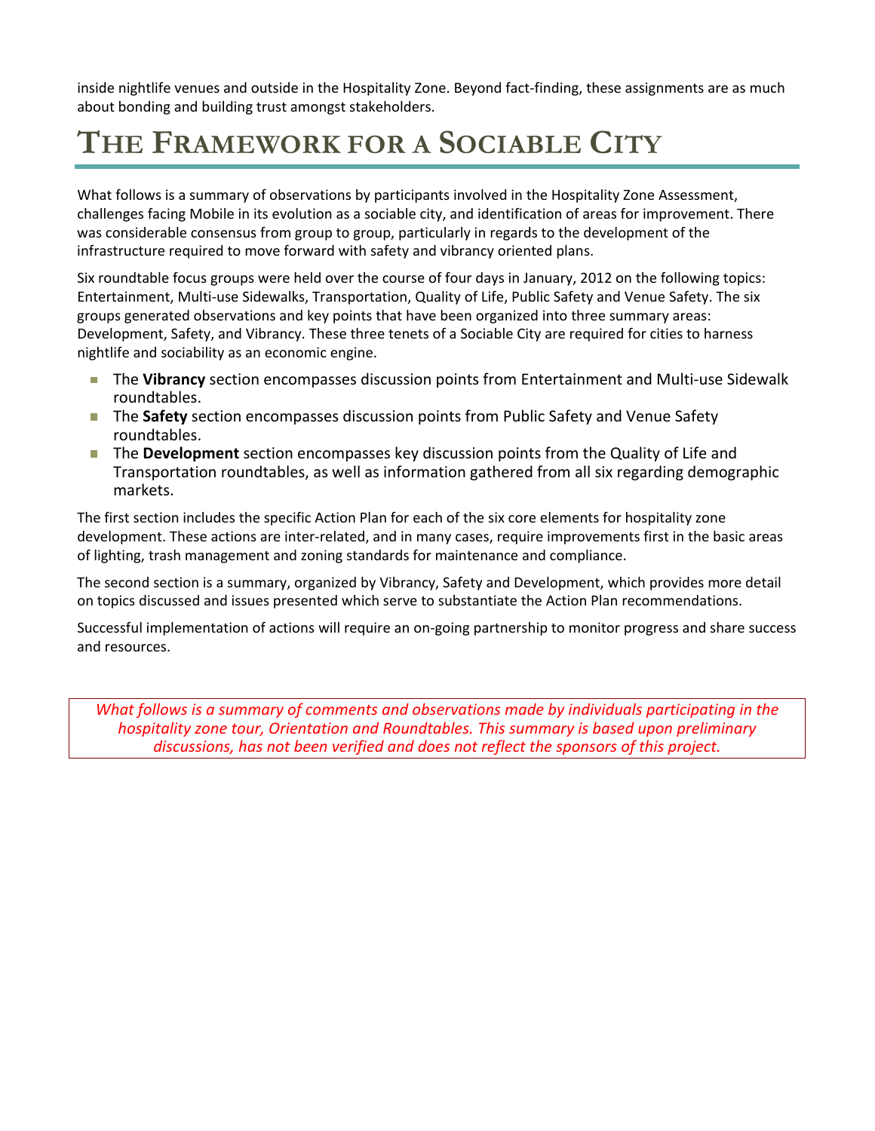inside nightlife venues and outside in the Hospitality Zone. Beyond fact‐finding, these assignments are as much about bonding and building trust amongst stakeholders.

## **THE FRAMEWORK FOR A SOCIABLE CITY**

What follows is a summary of observations by participants involved in the Hospitality Zone Assessment, challenges facing Mobile in its evolution as a sociable city, and identification of areas for improvement. There was considerable consensus from group to group, particularly in regards to the development of the infrastructure required to move forward with safety and vibrancy oriented plans.

Six roundtable focus groups were held over the course of four days in January, 2012 on the following topics: Entertainment, Multi‐use Sidewalks, Transportation, Quality of Life, Public Safety and Venue Safety. The six groups generated observations and key points that have been organized into three summary areas: Development, Safety, and Vibrancy. These three tenets of a Sociable City are required for cities to harness nightlife and sociability as an economic engine.

- The Vibrancy section encompasses discussion points from Entertainment and Multi-use Sidewalk roundtables.
- **The Safety** section encompasses discussion points from Public Safety and Venue Safety roundtables.
- **The Development** section encompasses key discussion points from the Quality of Life and Transportation roundtables, as well as information gathered from all six regarding demographic markets.

The first section includes the specific Action Plan for each of the six core elements for hospitality zone development. These actions are inter‐related, and in many cases, require improvements first in the basic areas of lighting, trash management and zoning standards for maintenance and compliance.

The second section is a summary, organized by Vibrancy, Safety and Development, which provides more detail on topics discussed and issues presented which serve to substantiate the Action Plan recommendations.

Successful implementation of actions will require an on‐going partnership to monitor progress and share success and resources.

*What follows is a summary of comments and observations made by individuals participating in the hospitality zone tour, Orientation and Roundtables. This summary is based upon preliminary discussions, has not been verified and does not reflect the sponsors of this project.*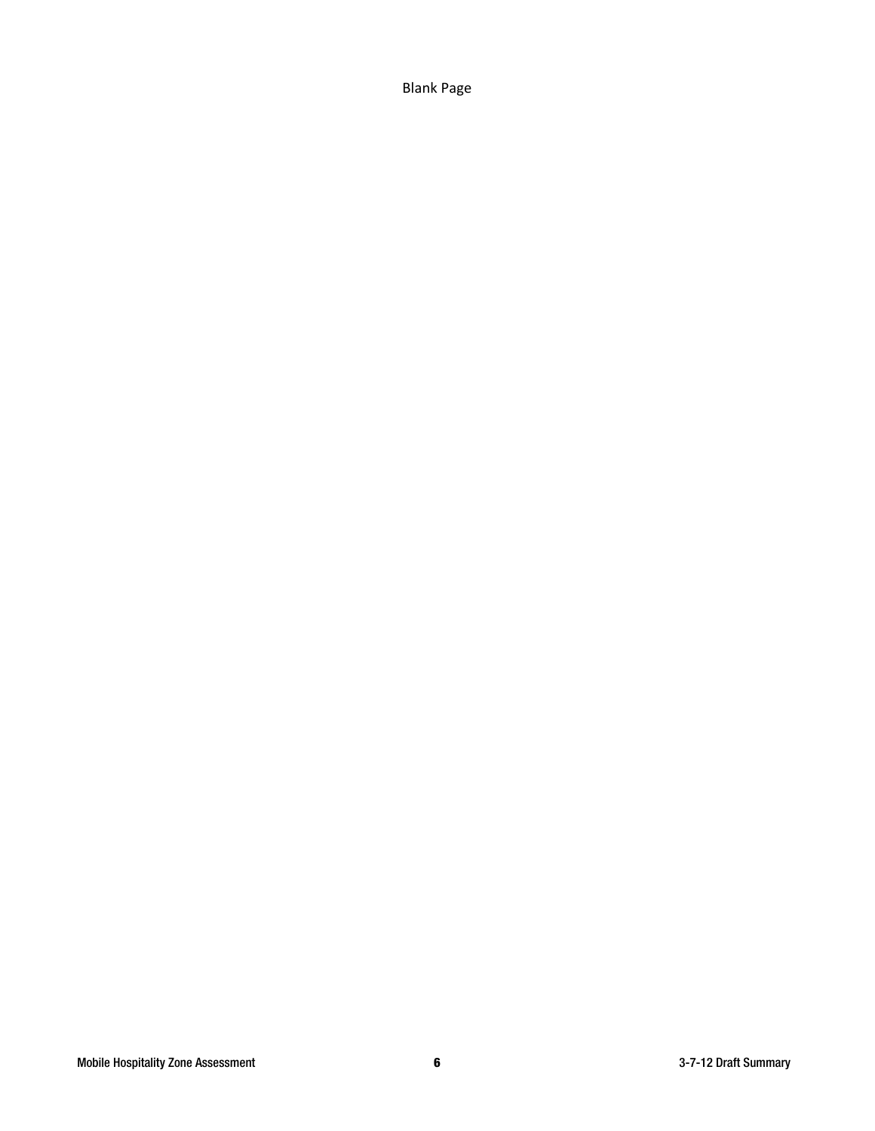Blank Page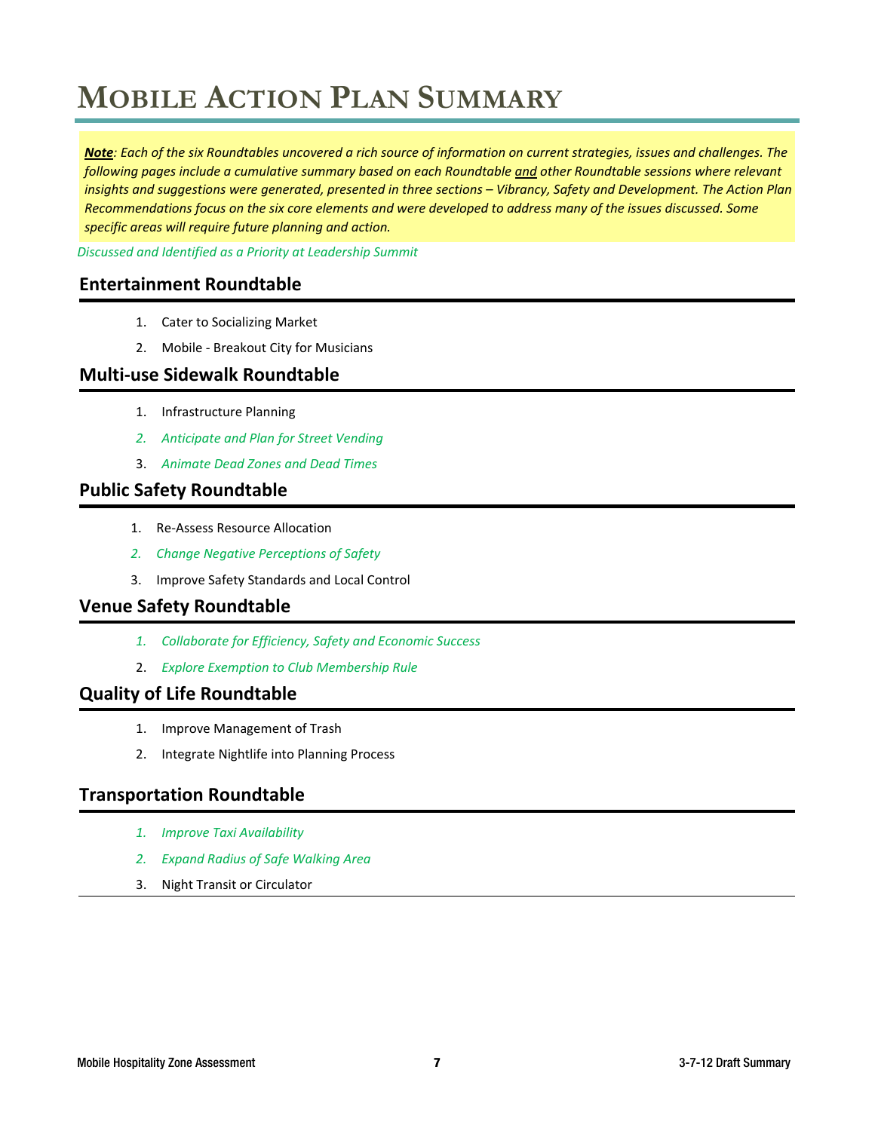## **MOBILE ACTION PLAN SUMMARY**

Note: Each of the six Roundtables uncovered a rich source of information on current strategies, issues and challenges. The following pages include a cumulative summary based on each Roundtable and other Roundtable sessions where relevant insights and suggestions were generated, presented in three sections - Vibrancy, Safety and Development. The Action Plan Recommendations focus on the six core elements and were developed to address many of the issues discussed. Some *specific areas will require future planning and action.* 

*Discussed and Identified as a Priority at Leadership Summit*

### **Entertainment Roundtable**

- 1. Cater to Socializing Market
- 2. Mobile ‐ Breakout City for Musicians

#### **Multi‐use Sidewalk Roundtable**

- 1. Infrastructure Planning
- *2. Anticipate and Plan for Street Vending*
- 3. *Animate Dead Zones and Dead Times*

#### **Public Safety Roundtable**

- 1. Re‐Assess Resource Allocation
- *2. Change Negative Perceptions of Safety*
- 3. Improve Safety Standards and Local Control

#### **Venue Safety Roundtable**

- *1. Collaborate for Efficiency, Safety and Economic Success*
- 2. *Explore Exemption to Club Membership Rule*

#### **Quality of Life Roundtable**

- 1. Improve Management of Trash
- 2. Integrate Nightlife into Planning Process

## **Transportation Roundtable**

- *1. Improve Taxi Availability*
- *2. Expand Radius of Safe Walking Area*
- 3. Night Transit or Circulator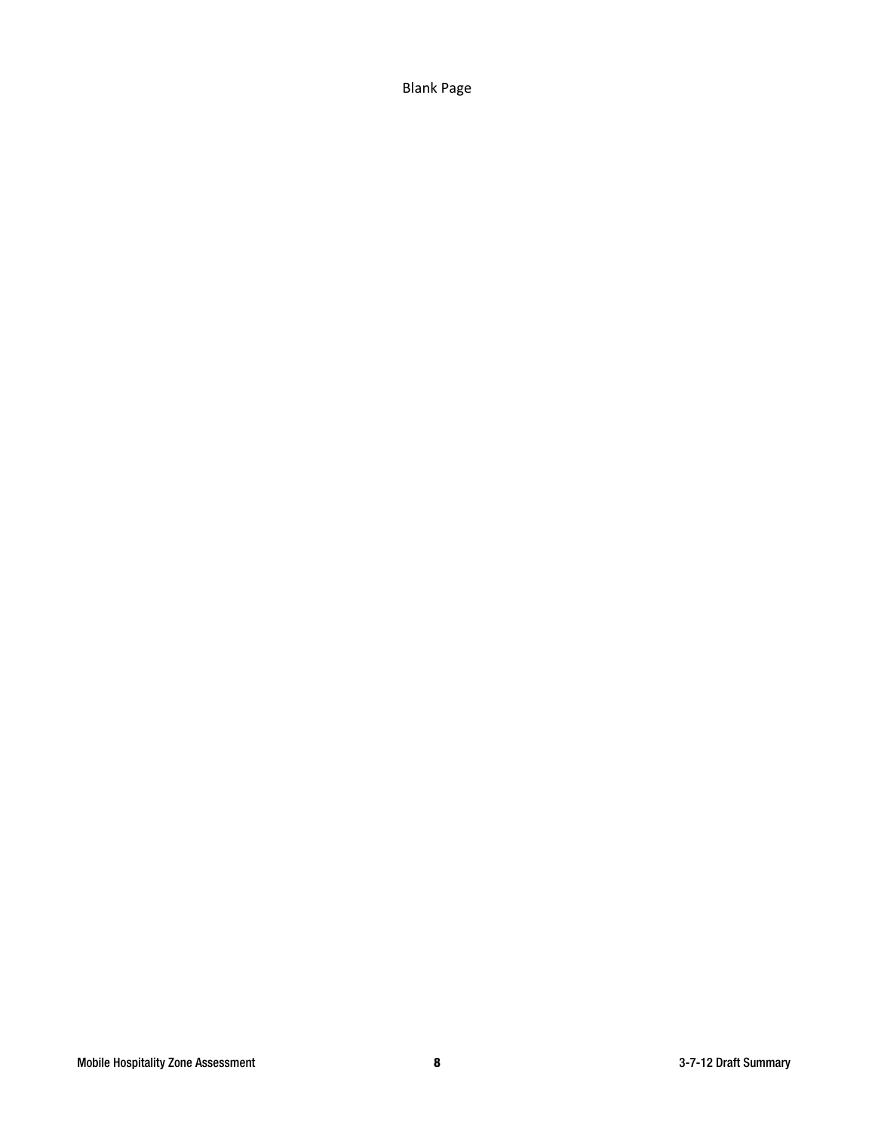Blank Page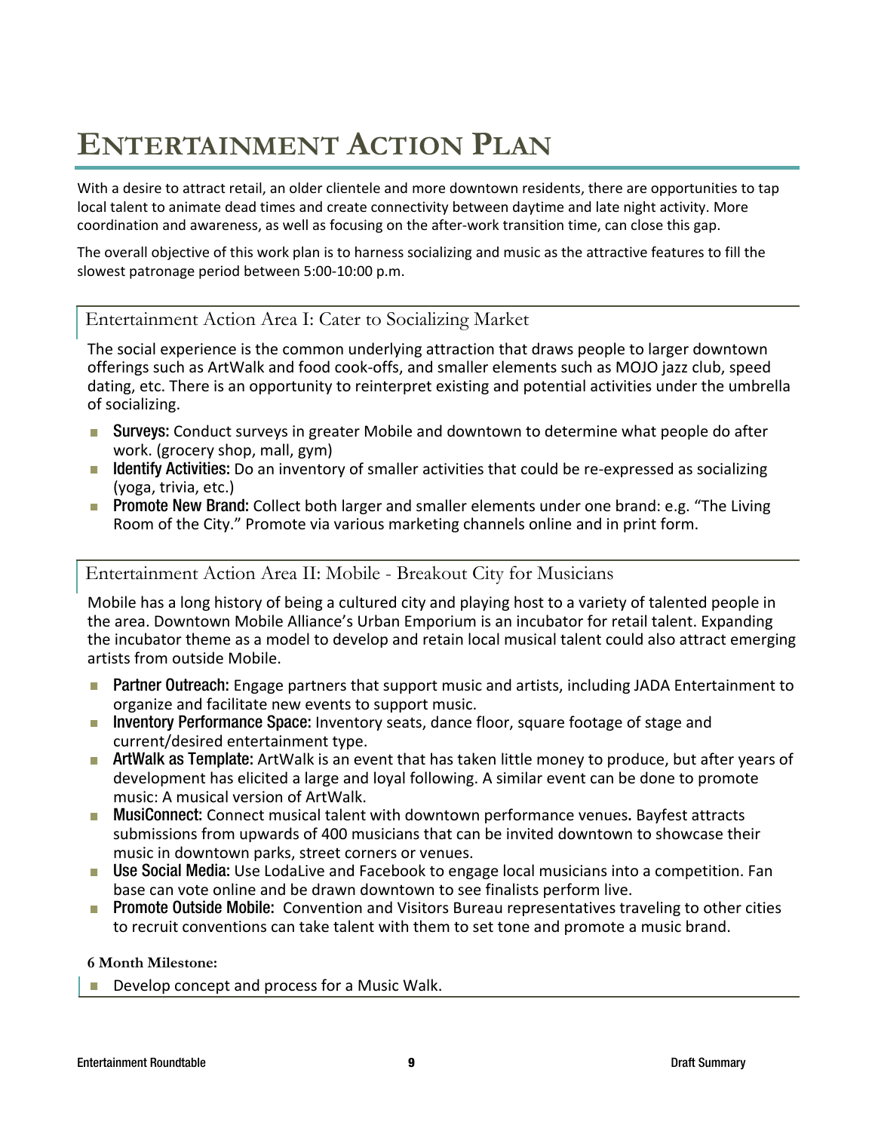## **ENTERTAINMENT ACTION PLAN**

With a desire to attract retail, an older clientele and more downtown residents, there are opportunities to tap local talent to animate dead times and create connectivity between daytime and late night activity. More coordination and awareness, as well as focusing on the after‐work transition time, can close this gap.

The overall objective of this work plan is to harness socializing and music as the attractive features to fill the slowest patronage period between 5:00‐10:00 p.m.

### Entertainment Action Area I: Cater to Socializing Market

The social experience is the common underlying attraction that draws people to larger downtown offerings such as ArtWalk and food cook‐offs, and smaller elements such as MOJO jazz club, speed dating, etc. There is an opportunity to reinterpret existing and potential activities under the umbrella of socializing.

- Surveys: Conduct surveys in greater Mobile and downtown to determine what people do after work. (grocery shop, mall, gym)
- Identify Activities: Do an inventory of smaller activities that could be re-expressed as socializing (yoga, trivia, etc.)
- Promote New Brand: Collect both larger and smaller elements under one brand: e.g. "The Living  $\Box$ Room of the City." Promote via various marketing channels online and in print form.

### Entertainment Action Area II: Mobile - Breakout City for Musicians

Mobile has a long history of being a cultured city and playing host to a variety of talented people in the area. Downtown Mobile Alliance's Urban Emporium is an incubator for retail talent. Expanding the incubator theme as a model to develop and retain local musical talent could also attract emerging artists from outside Mobile.

- **Partner Outreach:** Engage partners that support music and artists, including JADA Entertainment to organize and facilitate new events to support music.
- **Inventory Performance Space:** Inventory seats, dance floor, square footage of stage and current/desired entertainment type.
- **ArtWalk as Template:** ArtWalk is an event that has taken little money to produce, but after years of development has elicited a large and loyal following. A similar event can be done to promote music: A musical version of ArtWalk.
- $\mathcal{L}_{\text{max}}$ MusiConnect: Connect musical talent with downtown performance venues. Bayfest attracts submissions from upwards of 400 musicians that can be invited downtown to showcase their music in downtown parks, street corners or venues.
- **Use Social Media:** Use LodaLive and Facebook to engage local musicians into a competition. Fan base can vote online and be drawn downtown to see finalists perform live.
- Promote Outside Mobile: Convention and Visitors Bureau representatives traveling to other cities to recruit conventions can take talent with them to set tone and promote a music brand.

#### **6 Month Milestone:**

Develop concept and process for a Music Walk.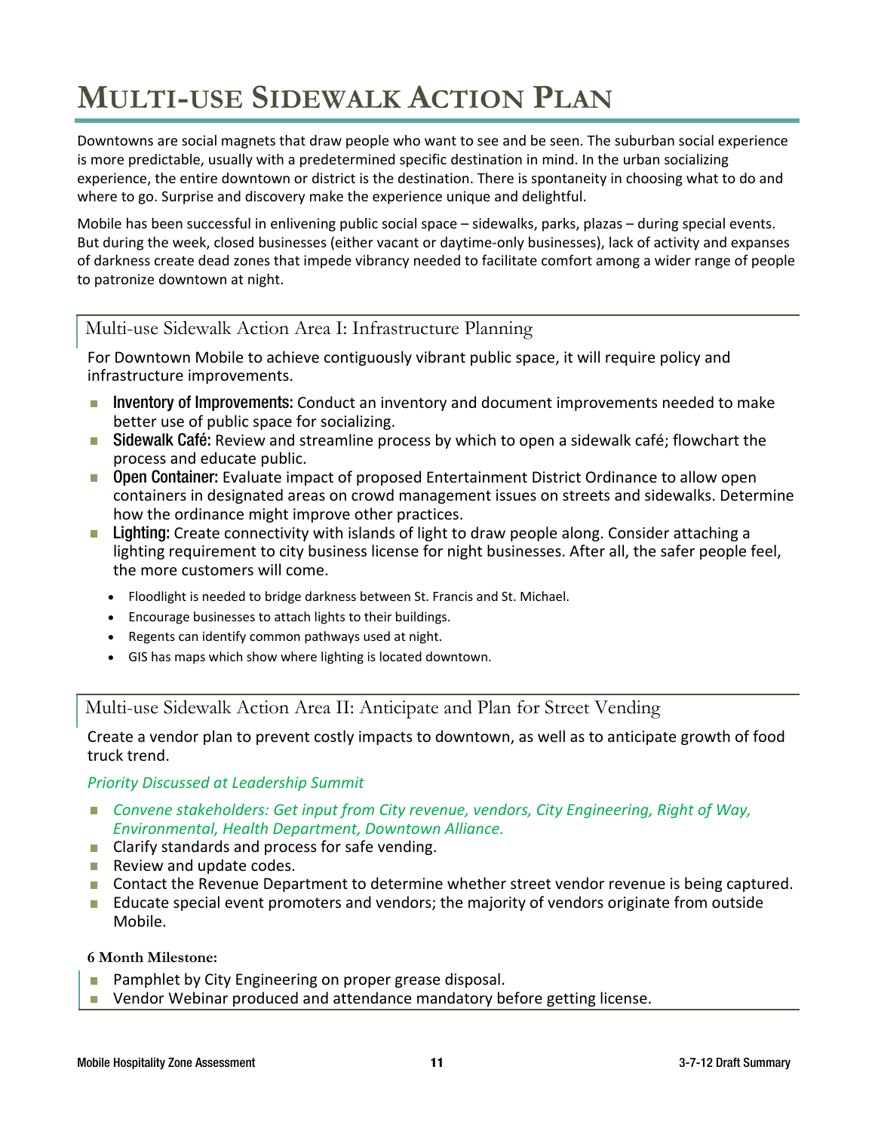## **MULTI-USE SIDEWALK ACTION PLAN**

Downtowns are social magnets that draw people who want to see and be seen. The suburban social experience is more predictable, usually with a predetermined specific destination in mind. In the urban socializing experience, the entire downtown or district is the destination. There is spontaneity in choosing what to do and where to go. Surprise and discovery make the experience unique and delightful.

Mobile has been successful in enlivening public social space – sidewalks, parks, plazas – during special events. But during the week, closed businesses (either vacant or daytime‐only businesses), lack of activity and expanses of darkness create dead zones that impede vibrancy needed to facilitate comfort among a wider range of people to patronize downtown at night.

## Multi-use Sidewalk Action Area I: Infrastructure Planning

For Downtown Mobile to achieve contiguously vibrant public space, it will require policy and infrastructure improvements.

- **Inventory of Improvements:** Conduct an inventory and document improvements needed to make better use of public space for socializing.
- **Sidewalk Café:** Review and streamline process by which to open a sidewalk café; flowchart the process and educate public.
- **Den Container:** Evaluate impact of proposed Entertainment District Ordinance to allow open containers in designated areas on crowd management issues on streets and sidewalks. Determine how the ordinance might improve other practices.
- Lighting: Create connectivity with islands of light to draw people along. Consider attaching a  $\mathcal{L}_{\mathcal{A}}$ lighting requirement to city business license for night businesses. After all, the safer people feel, the more customers will come.
	- Floodlight is needed to bridge darkness between St. Francis and St. Michael.
	- Encourage businesses to attach lights to their buildings.
	- Regents can identify common pathways used at night.
	- GIS has maps which show where lighting is located downtown.

Multi-use Sidewalk Action Area II: Anticipate and Plan for Street Vending

Create a vendor plan to prevent costly impacts to downtown, as well as to anticipate growth of food truck trend.

#### *Priority Discussed at Leadership Summit*

- *Convene stakeholders: Get input from City revenue, vendors, City Engineering, Right of Way, Environmental, Health Department, Downtown Alliance.*
- Clarify standards and process for safe vending.
- Review and update codes.
- **Contact the Revenue Department to determine whether street vendor revenue is being captured.**
- **EDUCATE SPECIAL EVENT SHOW STEPS IN A LIGATE SPECIAL EVATABLE SPECIAL EVATABLE FROM SULSIDE IS CONCELLED** Educate from outside Mobile.

#### **6 Month Milestone:**

- **Pamphlet by City Engineering on proper grease disposal.**
- Vendor Webinar produced and attendance mandatory before getting license.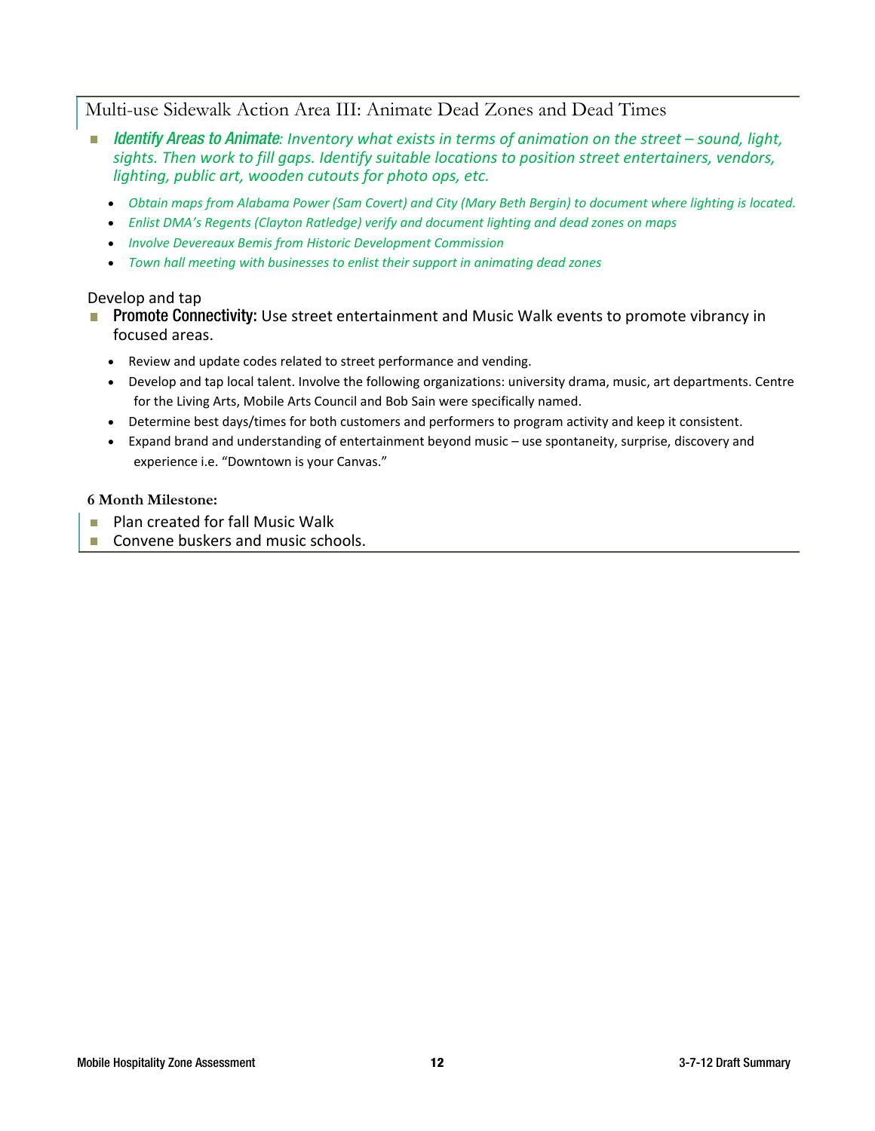## Multi-use Sidewalk Action Area III: Animate Dead Zones and Dead Times

- Identify Areas to Animate*: Inventory what exists in terms of animation on the street – sound, light, sights. Then work to fill gaps. Identify suitable locations to position street entertainers, vendors, lighting, public art, wooden cutouts for photo ops, etc.*
	- Obtain maps from Alabama Power (Sam Covert) and City (Mary Beth Bergin) to document where lighting is located.
	- *Enlist DMA's Regents (Clayton Ratledge) verify and document lighting and dead zones on maps*
	- *Involve Devereaux Bemis from Historic Development Commission*
	- *Town hall meeting with businesses to enlist their support in animating dead zones*

#### Develop and tap

- **Promote Connectivity:** Use street entertainment and Music Walk events to promote vibrancy in focused areas.
	- Review and update codes related to street performance and vending.
	- Develop and tap local talent. Involve the following organizations: university drama, music, art departments. Centre for the Living Arts, Mobile Arts Council and Bob Sain were specifically named.
	- Determine best days/times for both customers and performers to program activity and keep it consistent.
	- Expand brand and understanding of entertainment beyond music use spontaneity, surprise, discovery and experience i.e. "Downtown is your Canvas."

#### **6 Month Milestone:**

- Plan created for fall Music Walk  $\mathcal{L}_{\mathcal{A}}$
- Convene buskers and music schools.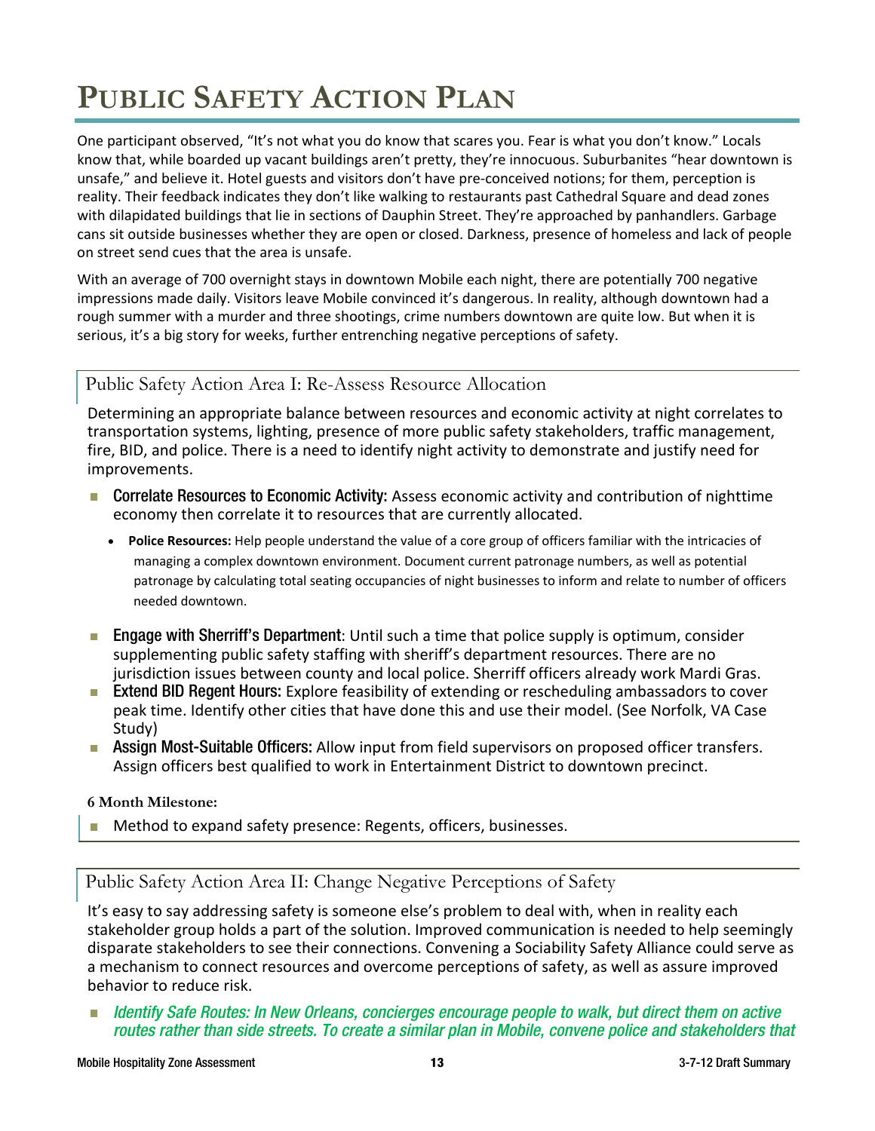# **PUBLIC SAFETY ACTION PLAN**

One participant observed, "It's not what you do know that scares you. Fear is what you don't know." Locals know that, while boarded up vacant buildings aren't pretty, they're innocuous. Suburbanites "hear downtown is unsafe," and believe it. Hotel guests and visitors don't have pre‐conceived notions; for them, perception is reality. Their feedback indicates they don't like walking to restaurants past Cathedral Square and dead zones with dilapidated buildings that lie in sections of Dauphin Street. They're approached by panhandlers. Garbage cans sit outside businesses whether they are open or closed. Darkness, presence of homeless and lack of people on street send cues that the area is unsafe.

With an average of 700 overnight stays in downtown Mobile each night, there are potentially 700 negative impressions made daily. Visitors leave Mobile convinced it's dangerous. In reality, although downtown had a rough summer with a murder and three shootings, crime numbers downtown are quite low. But when it is serious, it's a big story for weeks, further entrenching negative perceptions of safety.

## Public Safety Action Area I: Re-Assess Resource Allocation

Determining an appropriate balance between resources and economic activity at night correlates to transportation systems, lighting, presence of more public safety stakeholders, traffic management, fire, BID, and police. There is a need to identify night activity to demonstrate and justify need for improvements.

- **Correlate Resources to Economic Activity:** Assess economic activity and contribution of nighttime economy then correlate it to resources that are currently allocated.
	- **Police Resources:** Help people understand the value of a core group of officers familiar with the intricacies of managing a complex downtown environment. Document current patronage numbers, as well as potential patronage by calculating total seating occupancies of night businesses to inform and relate to number of officers needed downtown.
- Engage with Sherriff's Department: Until such a time that police supply is optimum, consider  $\overline{\phantom{a}}$ supplementing public safety staffing with sheriff's department resources. There are no jurisdiction issues between county and local police. Sherriff officers already work Mardi Gras.
- **Extend BID Regent Hours:** Explore feasibility of extending or rescheduling ambassadors to cover peak time. Identify other cities that have done this and use their model. (See Norfolk, VA Case Study)
- Assign Most-Suitable Officers: Allow input from field supervisors on proposed officer transfers.  $\Box$ Assign officers best qualified to work in Entertainment District to downtown precinct.

#### **6 Month Milestone:**

Method to expand safety presence: Regents, officers, businesses.

Public Safety Action Area II: Change Negative Perceptions of Safety

It's easy to say addressing safety is someone else's problem to deal with, when in reality each stakeholder group holds a part of the solution. Improved communication is needed to help seemingly disparate stakeholders to see their connections. Convening a Sociability Safety Alliance could serve as a mechanism to connect resources and overcome perceptions of safety, as well as assure improved behavior to reduce risk.

Identify Safe Routes: In New Orleans, concierges encourage people to walk, but direct them on active routes rather than side streets. To create a similar plan in Mobile, convene police and stakeholders that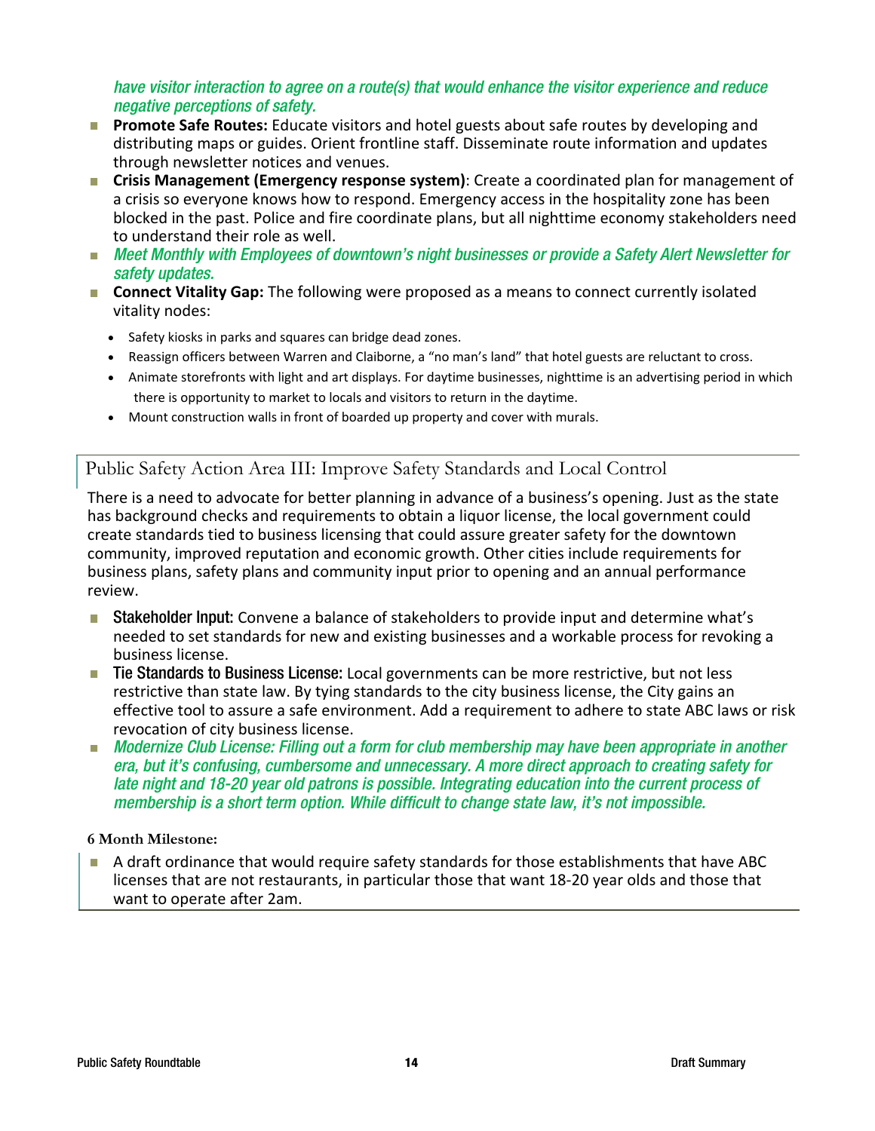#### have visitor interaction to agree on a route(s) that would enhance the visitor experience and reduce negative perceptions of safety.

- **Promote Safe Routes:** Educate visitors and hotel guests about safe routes by developing and distributing maps or guides. Orient frontline staff. Disseminate route information and updates through newsletter notices and venues.
- $\Box$ **Crisis Management (Emergency response system)**: Create a coordinated plan for management of a crisis so everyone knows how to respond. Emergency access in the hospitality zone has been blocked in the past. Police and fire coordinate plans, but all nighttime economy stakeholders need to understand their role as well.
- Meet Monthly with Employees of downtown's night businesses or provide a Safety Alert Newsletter for safety updates.
- **Connect Vitality Gap:** The following were proposed as a means to connect currently isolated vitality nodes:
	- Safety kiosks in parks and squares can bridge dead zones.
	- Reassign officers between Warren and Claiborne, a "no man's land" that hotel guests are reluctant to cross.
	- Animate storefronts with light and art displays. For daytime businesses, nighttime is an advertising period in which there is opportunity to market to locals and visitors to return in the daytime.
	- Mount construction walls in front of boarded up property and cover with murals.

Public Safety Action Area III: Improve Safety Standards and Local Control

There is a need to advocate for better planning in advance of a business's opening. Just as the state has background checks and requirements to obtain a liquor license, the local government could create standards tied to business licensing that could assure greater safety for the downtown community, improved reputation and economic growth. Other cities include requirements for business plans, safety plans and community input prior to opening and an annual performance review.

- Stakeholder Input: Convene a balance of stakeholders to provide input and determine what's  $\mathcal{L}^{\mathcal{L}}$ needed to set standards for new and existing businesses and a workable process for revoking a business license.
- Tie Standards to Business License: Local governments can be more restrictive, but not less restrictive than state law. By tying standards to the city business license, the City gains an effective tool to assure a safe environment. Add a requirement to adhere to state ABC laws or risk revocation of city business license.
- Modernize Club License: Filling out a form for club membership may have been appropriate in another era, but it's confusing, cumbersome and unnecessary. A more direct approach to creating safety for late night and 18-20 year old patrons is possible. Integrating education into the current process of membership is a short term option. While difficult to change state law, it's not impossible.

#### **6 Month Milestone:**

**The Contract** A draft ordinance that would require safety standards for those establishments that have ABC licenses that are not restaurants, in particular those that want 18‐20 year olds and those that want to operate after 2am.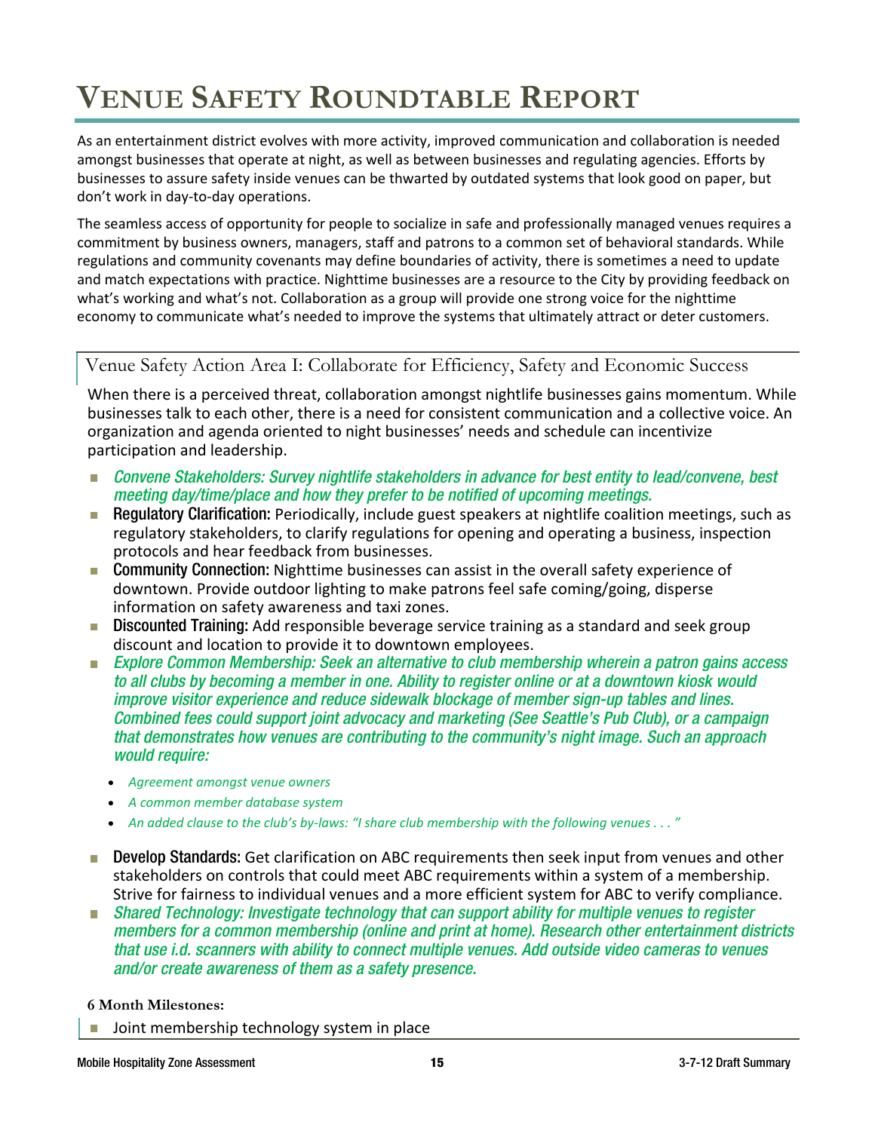# **VENUE SAFETY ROUNDTABLE REPORT**

As an entertainment district evolves with more activity, improved communication and collaboration is needed amongst businesses that operate at night, as well as between businesses and regulating agencies. Efforts by businesses to assure safety inside venues can be thwarted by outdated systems that look good on paper, but don't work in day‐to‐day operations.

The seamless access of opportunity for people to socialize in safe and professionally managed venues requires a commitment by business owners, managers, staff and patrons to a common set of behavioral standards. While regulations and community covenants may define boundaries of activity, there is sometimes a need to update and match expectations with practice. Nighttime businesses are a resource to the City by providing feedback on what's working and what's not. Collaboration as a group will provide one strong voice for the nighttime economy to communicate what's needed to improve the systems that ultimately attract or deter customers.

## Venue Safety Action Area I: Collaborate for Efficiency, Safety and Economic Success

When there is a perceived threat, collaboration amongst nightlife businesses gains momentum. While businesses talk to each other, there is a need for consistent communication and a collective voice. An organization and agenda oriented to night businesses' needs and schedule can incentivize participation and leadership.

- **The Co** Convene Stakeholders: Survey nightlife stakeholders in advance for best entity to lead/convene, best meeting day/time/place and how they prefer to be notified of upcoming meetings.
- $\Box$ Regulatory Clarification: Periodically, include guest speakers at nightlife coalition meetings, such as regulatory stakeholders, to clarify regulations for opening and operating a business, inspection protocols and hear feedback from businesses.
- Community Connection: Nighttime businesses can assist in the overall safety experience of  $\Box$ downtown. Provide outdoor lighting to make patrons feel safe coming/going, disperse information on safety awareness and taxi zones.
- Discounted Training: Add responsible beverage service training as a standard and seek group  $\Box$ discount and location to provide it to downtown employees.
- **Explore Common Membership: Seek an alternative to club membership wherein a patron gains access** to all clubs by becoming a member in one. Ability to register online or at a downtown kiosk would improve visitor experience and reduce sidewalk blockage of member sign-up tables and lines. Combined fees could support joint advocacy and marketing (See Seattle's Pub Club), or a campaign that demonstrates how venues are contributing to the community's night image. Such an approach would require:
	- *Agreement amongst venue owners*
	- *A common member database system*
	- An added clause to the club's by-laws: "I share club membership with the following venues . . . "
- **Develop Standards:** Get clarification on ABC requirements then seek input from venues and other stakeholders on controls that could meet ABC requirements within a system of a membership. Strive for fairness to individual venues and a more efficient system for ABC to verify compliance.
- Shared Technology: Investigate technology that can support ability for multiple venues to register members for a common membership (online and print at home). Research other entertainment districts that use i.d. scanners with ability to connect multiple venues. Add outside video cameras to venues and/or create awareness of them as a safety presence.

#### **6 Month Milestones:**

Joint membership technology system in place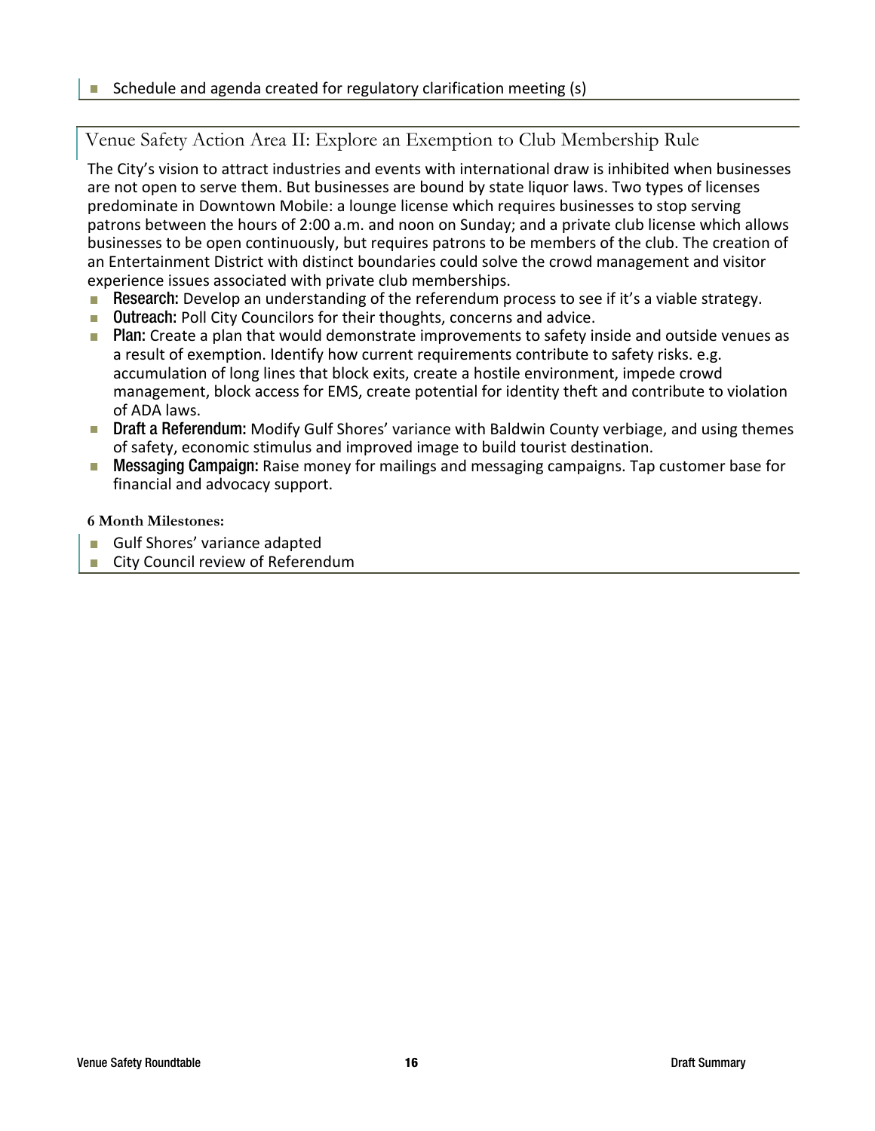## Venue Safety Action Area II: Explore an Exemption to Club Membership Rule

The City's vision to attract industries and events with international draw is inhibited when businesses are not open to serve them. But businesses are bound by state liquor laws. Two types of licenses predominate in Downtown Mobile: a lounge license which requires businesses to stop serving patrons between the hours of 2:00 a.m. and noon on Sunday; and a private club license which allows businesses to be open continuously, but requires patrons to be members of the club. The creation of an Entertainment District with distinct boundaries could solve the crowd management and visitor experience issues associated with private club memberships.

- **Research:** Develop an understanding of the referendum process to see if it's a viable strategy.
- Outreach: Poll City Councilors for their thoughts, concerns and advice.  $\Box$
- **Plan:** Create a plan that would demonstrate improvements to safety inside and outside venues as a result of exemption. Identify how current requirements contribute to safety risks. e.g. accumulation of long lines that block exits, create a hostile environment, impede crowd management, block access for EMS, create potential for identity theft and contribute to violation of ADA laws.
- **Draft a Referendum:** Modify Gulf Shores' variance with Baldwin County verbiage, and using themes of safety, economic stimulus and improved image to build tourist destination.
- Messaging Campaign: Raise money for mailings and messaging campaigns. Tap customer base for  $\Box$ financial and advocacy support.

#### **6 Month Milestones:**

- Gulf Shores' variance adapted Ħ
- City Council review of Referendum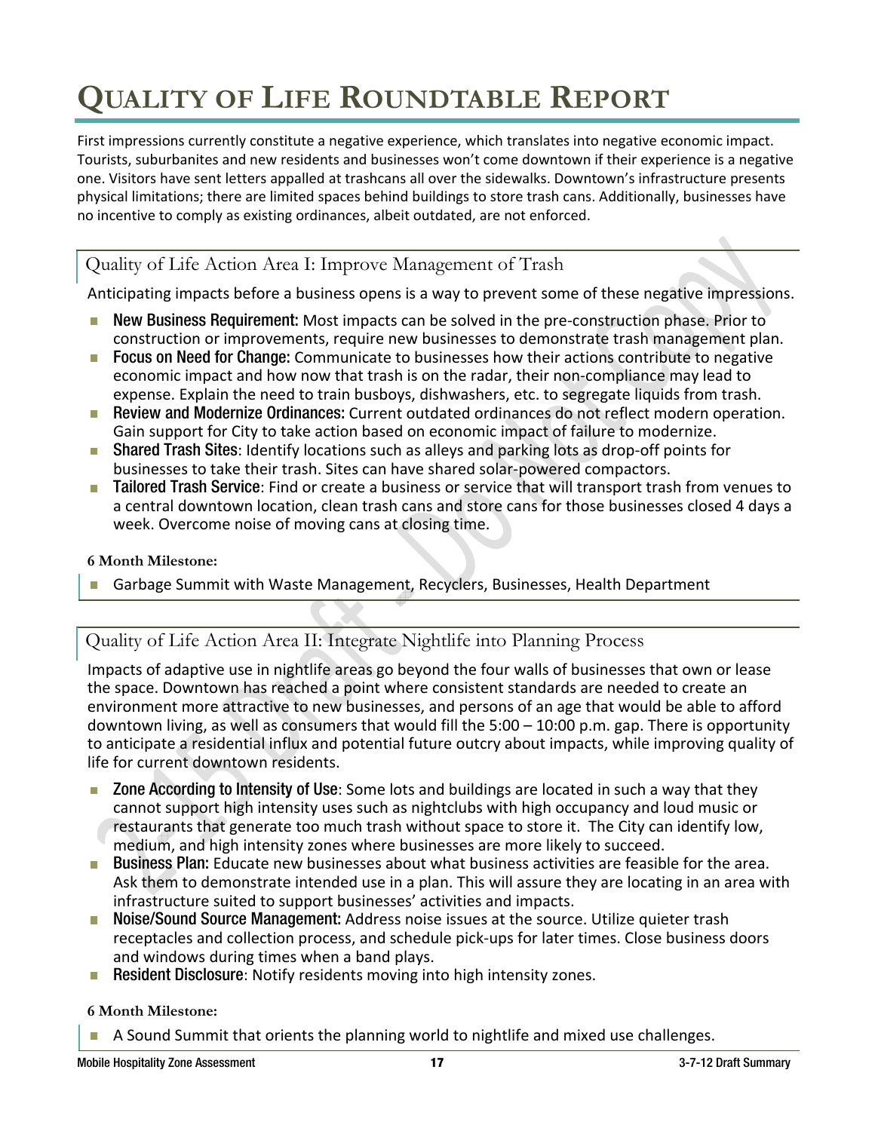# **QUALITY OF LIFE ROUNDTABLE REPORT**

First impressions currently constitute a negative experience, which translates into negative economic impact. Tourists, suburbanites and new residents and businesses won't come downtown if their experience is a negative one. Visitors have sent letters appalled at trashcans all over the sidewalks. Downtown's infrastructure presents physical limitations; there are limited spaces behind buildings to store trash cans. Additionally, businesses have no incentive to comply as existing ordinances, albeit outdated, are not enforced.

## Quality of Life Action Area I: Improve Management of Trash

Anticipating impacts before a business opens is a way to prevent some of these negative impressions.

- New Business Requirement: Most impacts can be solved in the pre-construction phase. Prior to construction or improvements, require new businesses to demonstrate trash management plan.
- Focus on Need for Change: Communicate to businesses how their actions contribute to negative  $\Box$ economic impact and how now that trash is on the radar, their non‐compliance may lead to expense. Explain the need to train busboys, dishwashers, etc. to segregate liquids from trash.
- **Review and Modernize Ordinances:** Current outdated ordinances do not reflect modern operation. Gain support for City to take action based on economic impact of failure to modernize.
- $\overline{\phantom{a}}$ Shared Trash Sites: Identify locations such as alleys and parking lots as drop‐off points for businesses to take their trash. Sites can have shared solar‐powered compactors.
- Tailored Trash Service: Find or create a business or service that will transport trash from venues to  $\overline{\phantom{a}}$ a central downtown location, clean trash cans and store cans for those businesses closed 4 days a week. Overcome noise of moving cans at closing time.

#### **6 Month Milestone:**

Garbage Summit with Waste Management, Recyclers, Businesses, Health Department

## Quality of Life Action Area II: Integrate Nightlife into Planning Process

Impacts of adaptive use in nightlife areas go beyond the four walls of businesses that own or lease the space. Downtown has reached a point where consistent standards are needed to create an environment more attractive to new businesses, and persons of an age that would be able to afford downtown living, as well as consumers that would fill the 5:00 – 10:00 p.m. gap. There is opportunity to anticipate a residential influx and potential future outcry about impacts, while improving quality of life for current downtown residents.

- **EXT** Zone According to Intensity of Use: Some lots and buildings are located in such a way that they cannot support high intensity uses such as nightclubs with high occupancy and loud music or restaurants that generate too much trash without space to store it. The City can identify low, medium, and high intensity zones where businesses are more likely to succeed.
- Business Plan: Educate new businesses about what business activities are feasible for the area.  $\Box$  . Ask them to demonstrate intended use in a plan. This will assure they are locating in an area with infrastructure suited to support businesses' activities and impacts.
- Noise/Sound Source Management: Address noise issues at the source. Utilize quieter trash  $\mathcal{L}_{\mathcal{A}}$ receptacles and collection process, and schedule pick‐ups for later times. Close business doors and windows during times when a band plays.
- Resident Disclosure: Notify residents moving into high intensity zones.  $\Box$  .

#### **6 Month Milestone:**

A Sound Summit that orients the planning world to nightlife and mixed use challenges.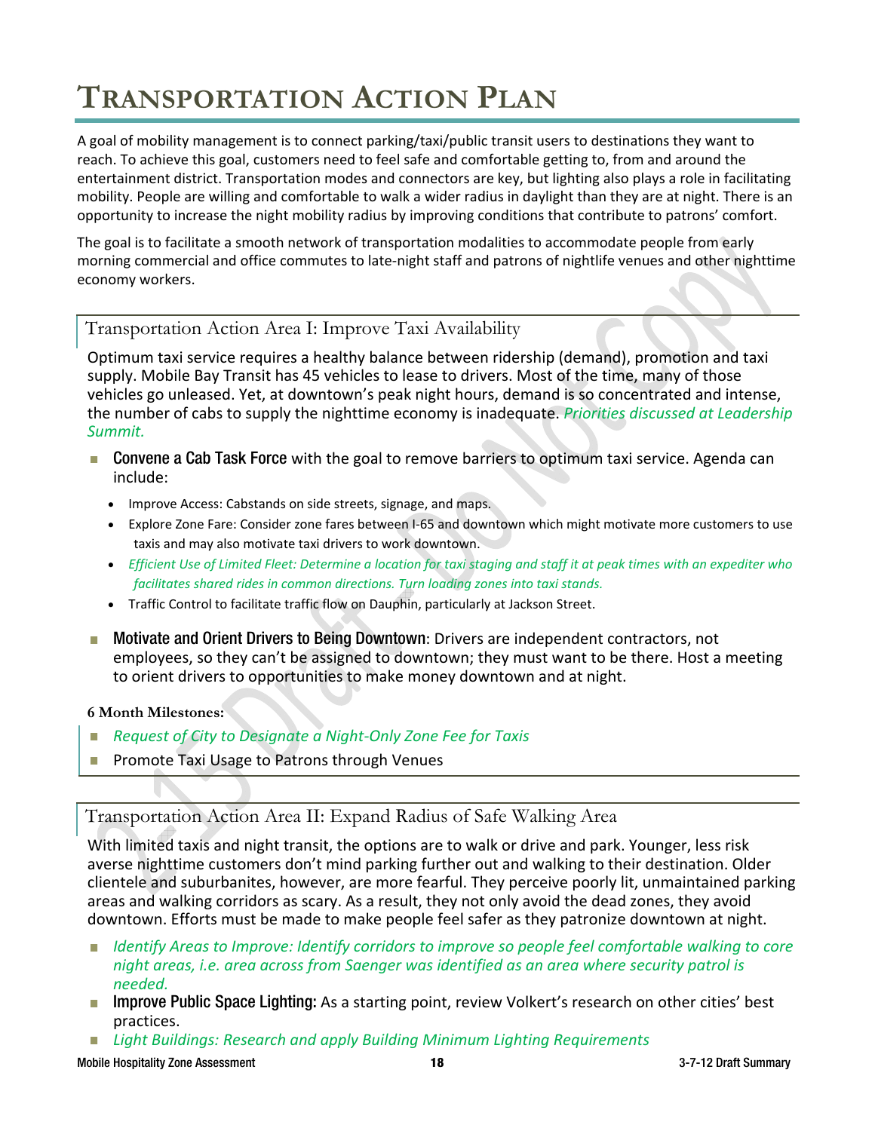# **TRANSPORTATION ACTION PLAN**

A goal of mobility management is to connect parking/taxi/public transit users to destinations they want to reach. To achieve this goal, customers need to feel safe and comfortable getting to, from and around the entertainment district. Transportation modes and connectors are key, but lighting also plays a role in facilitating mobility. People are willing and comfortable to walk a wider radius in daylight than they are at night. There is an opportunity to increase the night mobility radius by improving conditions that contribute to patrons' comfort.

The goal is to facilitate a smooth network of transportation modalities to accommodate people from early morning commercial and office commutes to late‐night staff and patrons of nightlife venues and other nighttime economy workers.

## Transportation Action Area I: Improve Taxi Availability

Optimum taxi service requires a healthy balance between ridership (demand), promotion and taxi supply. Mobile Bay Transit has 45 vehicles to lease to drivers. Most of the time, many of those vehicles go unleased. Yet, at downtown's peak night hours, demand is so concentrated and intense, the number of cabs to supply the nighttime economy is inadequate. *Priorities discussed at Leadership Summit.*

- **Convene a Cab Task Force** with the goal to remove barriers to optimum taxi service. Agenda can include:
	- Improve Access: Cabstands on side streets, signage, and maps.
	- Explore Zone Fare: Consider zone fares between I‐65 and downtown which might motivate more customers to use taxis and may also motivate taxi drivers to work downtown.
	- Efficient Use of Limited Fleet: Determine a location for taxi staging and staff it at peak times with an expediter who *facilitates shared rides in common directions. Turn loading zones into taxi stands.*
	- Traffic Control to facilitate traffic flow on Dauphin, particularly at Jackson Street.
- **Motivate and Orient Drivers to Being Downtown:** Drivers are independent contractors, not employees, so they can't be assigned to downtown; they must want to be there. Host a meeting to orient drivers to opportunities to make money downtown and at night.

#### **6 Month Milestones:**

- *Request of City to Designate a Night‐Only Zone Fee for Taxis* Ħ
- **Promote Taxi Usage to Patrons through Venues**

## Transportation Action Area II: Expand Radius of Safe Walking Area

With limited taxis and night transit, the options are to walk or drive and park. Younger, less risk averse nighttime customers don't mind parking further out and walking to their destination. Older clientele and suburbanites, however, are more fearful. They perceive poorly lit, unmaintained parking areas and walking corridors as scary. As a result, they not only avoid the dead zones, they avoid downtown. Efforts must be made to make people feel safer as they patronize downtown at night.

- *Identify Areas to Improve: Identify corridors to improve so people feel comfortable walking to core night areas, i.e. area across from Saenger was identified as an area where security patrol is needed.*
- **Improve Public Space Lighting:** As a starting point, review Volkert's research on other cities' best practices.
- *Light Buildings: Research and apply Building Minimum Lighting Requirements*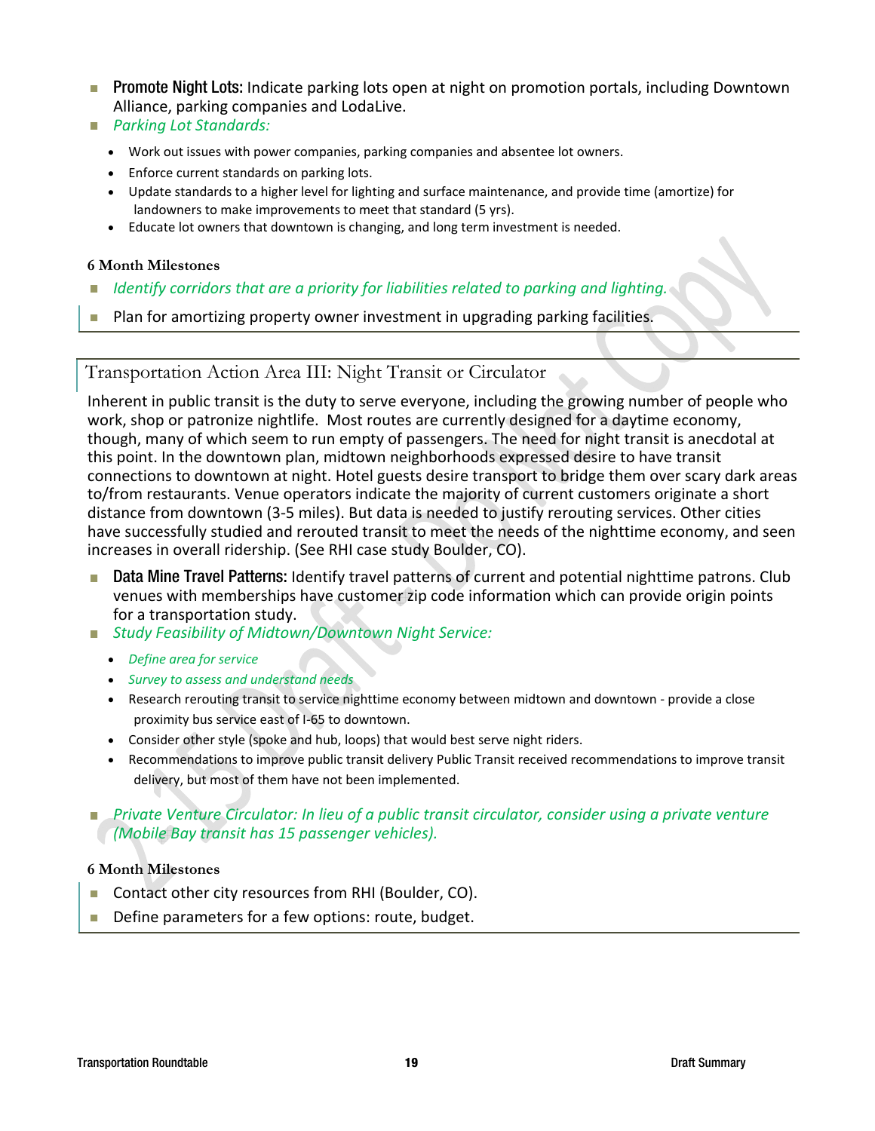- **Promote Night Lots:** Indicate parking lots open at night on promotion portals, including Downtown Alliance, parking companies and LodaLive.
- *Parking Lot Standards:*
	- Work out issues with power companies, parking companies and absentee lot owners.
	- Enforce current standards on parking lots.
	- Update standards to a higher level for lighting and surface maintenance, and provide time (amortize) for landowners to make improvements to meet that standard (5 yrs).
	- Educate lot owners that downtown is changing, and long term investment is needed.

#### **6 Month Milestones**

- *Identify corridors that are a priority for liabilities related to parking and lighting.*
- Plan for amortizing property owner investment in upgrading parking facilities.

Transportation Action Area III: Night Transit or Circulator

Inherent in public transit is the duty to serve everyone, including the growing number of people who work, shop or patronize nightlife. Most routes are currently designed for a daytime economy, though, many of which seem to run empty of passengers. The need for night transit is anecdotal at this point. In the downtown plan, midtown neighborhoods expressed desire to have transit connections to downtown at night. Hotel guests desire transport to bridge them over scary dark areas to/from restaurants. Venue operators indicate the majority of current customers originate a short distance from downtown (3‐5 miles). But data is needed to justify rerouting services. Other cities have successfully studied and rerouted transit to meet the needs of the nighttime economy, and seen increases in overall ridership. (See RHI case study Boulder, CO).

- Data Mine Travel Patterns: Identify travel patterns of current and potential nighttime patrons. Club  $\overline{\phantom{a}}$ venues with memberships have customer zip code information which can provide origin points for a transportation study.
- *Study Feasibility of Midtown/Downtown Night Service:* 
	- *Define area for service*
	- *Survey to assess and understand needs*
	- Research rerouting transit to service nighttime economy between midtown and downtown provide a close proximity bus service east of I‐65 to downtown.
	- Consider other style (spoke and hub, loops) that would best serve night riders.
	- Recommendations to improve public transit delivery Public Transit received recommendations to improve transit delivery, but most of them have not been implemented.
- *Private Venture Circulator: In lieu of a public transit circulator, consider using a private venture (Mobile Bay transit has 15 passenger vehicles).*

#### **6 Month Milestones**

- Contact other city resources from RHI (Boulder, CO).
- Define parameters for a few options: route, budget. $\blacksquare$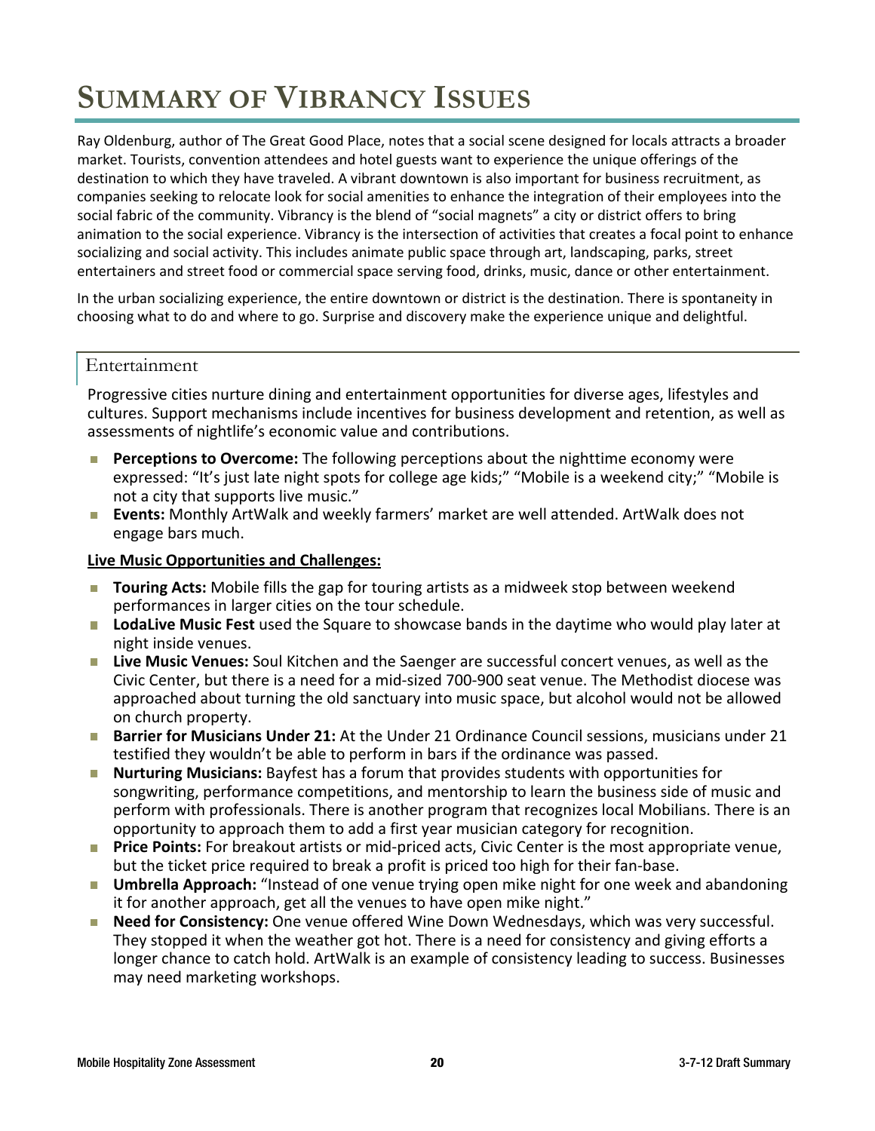# **SUMMARY OF VIBRANCY ISSUES**

Ray Oldenburg, author of The Great Good Place, notes that a social scene designed for locals attracts a broader market. Tourists, convention attendees and hotel guests want to experience the unique offerings of the destination to which they have traveled. A vibrant downtown is also important for business recruitment, as companies seeking to relocate look for social amenities to enhance the integration of their employees into the social fabric of the community. Vibrancy is the blend of "social magnets" a city or district offers to bring animation to the social experience. Vibrancy is the intersection of activities that creates a focal point to enhance socializing and social activity. This includes animate public space through art, landscaping, parks, street entertainers and street food or commercial space serving food, drinks, music, dance or other entertainment.

In the urban socializing experience, the entire downtown or district is the destination. There is spontaneity in choosing what to do and where to go. Surprise and discovery make the experience unique and delightful.

#### Entertainment

Progressive cities nurture dining and entertainment opportunities for diverse ages, lifestyles and cultures. Support mechanisms include incentives for business development and retention, as well as assessments of nightlife's economic value and contributions.

- **Perceptions to Overcome:** The following perceptions about the nighttime economy were  $\overline{\phantom{a}}$ expressed: "It's just late night spots for college age kids;" "Mobile is a weekend city;" "Mobile is not a city that supports live music."
- **Events:** Monthly ArtWalk and weekly farmers' market are well attended. ArtWalk does not  $\Box$  . engage bars much.

#### **Live Music Opportunities and Challenges:**

- $\blacksquare$ **Touring Acts:** Mobile fills the gap for touring artists as a midweek stop between weekend performances in larger cities on the tour schedule.
- **LodaLive Music Fest** used the Square to showcase bands in the daytime who would play later at night inside venues.
- $\Box$  . **Live Music Venues:** Soul Kitchen and the Saenger are successful concert venues, as well as the Civic Center, but there is a need for a mid‐sized 700‐900 seat venue. The Methodist diocese was approached about turning the old sanctuary into music space, but alcohol would not be allowed on church property.
- **Barrier for Musicians Under 21:** At the Under 21 Ordinance Council sessions, musicians under 21 testified they wouldn't be able to perform in bars if the ordinance was passed.
- **Nurturing Musicians:** Bayfest has a forum that provides students with opportunities for  $\Box$ songwriting, performance competitions, and mentorship to learn the business side of music and perform with professionals. There is another program that recognizes local Mobilians. There is an opportunity to approach them to add a first year musician category for recognition.
- **Price Points:** For breakout artists or mid-priced acts, Civic Center is the most appropriate venue, but the ticket price required to break a profit is priced too high for their fan‐base.
- **Umbrella Approach:** "Instead of one venue trying open mike night for one week and abandoning it for another approach, get all the venues to have open mike night."
- **Need for Consistency:** One venue offered Wine Down Wednesdays, which was very successful.  $\mathcal{L}_{\mathcal{A}}$ They stopped it when the weather got hot. There is a need for consistency and giving efforts a longer chance to catch hold. ArtWalk is an example of consistency leading to success. Businesses may need marketing workshops.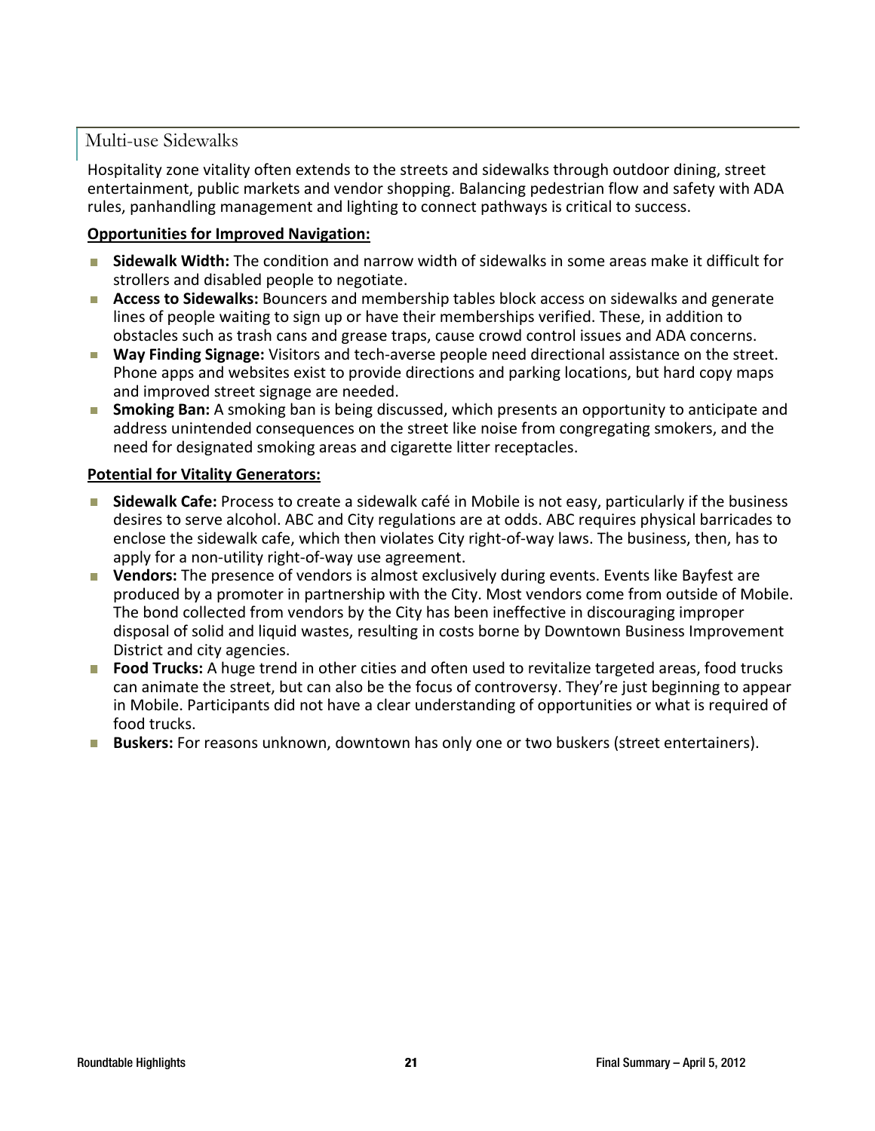## Multi-use Sidewalks

Hospitality zone vitality often extends to the streets and sidewalks through outdoor dining, street entertainment, public markets and vendor shopping. Balancing pedestrian flow and safety with ADA rules, panhandling management and lighting to connect pathways is critical to success.

## **Opportunities for Improved Navigation:**

- **Sidewalk Width:** The condition and narrow width of sidewalks in some areas make it difficult for strollers and disabled people to negotiate.
- **Access to Sidewalks:** Bouncers and membership tables block access on sidewalks and generate  $\overline{\phantom{a}}$ lines of people waiting to sign up or have their memberships verified. These, in addition to obstacles such as trash cans and grease traps, cause crowd control issues and ADA concerns.
- $\overline{\phantom{a}}$ **Way Finding Signage:** Visitors and tech‐averse people need directional assistance on the street. Phone apps and websites exist to provide directions and parking locations, but hard copy maps and improved street signage are needed.
- **Smoking Ban:** A smoking ban is being discussed, which presents an opportunity to anticipate and  $\overline{\phantom{a}}$ address unintended consequences on the street like noise from congregating smokers, and the need for designated smoking areas and cigarette litter receptacles.

## **Potential for Vitality Generators:**

- **Sidewalk Cafe:** Process to create a sidewalk café in Mobile is not easy, particularly if the business desires to serve alcohol. ABC and City regulations are at odds. ABC requires physical barricades to enclose the sidewalk cafe, which then violates City right‐of‐way laws. The business, then, has to apply for a non-utility right-of-way use agreement.
- **Vendors:** The presence of vendors is almost exclusively during events. Events like Bayfest are  $\mathcal{L}_{\mathcal{A}}$ produced by a promoter in partnership with the City. Most vendors come from outside of Mobile. The bond collected from vendors by the City has been ineffective in discouraging improper disposal of solid and liquid wastes, resulting in costs borne by Downtown Business Improvement District and city agencies.
- **Food Trucks:** A huge trend in other cities and often used to revitalize targeted areas, food trucks can animate the street, but can also be the focus of controversy. They're just beginning to appear in Mobile. Participants did not have a clear understanding of opportunities or what is required of food trucks.
- **Buskers:** For reasons unknown, downtown has only one or two buskers (street entertainers).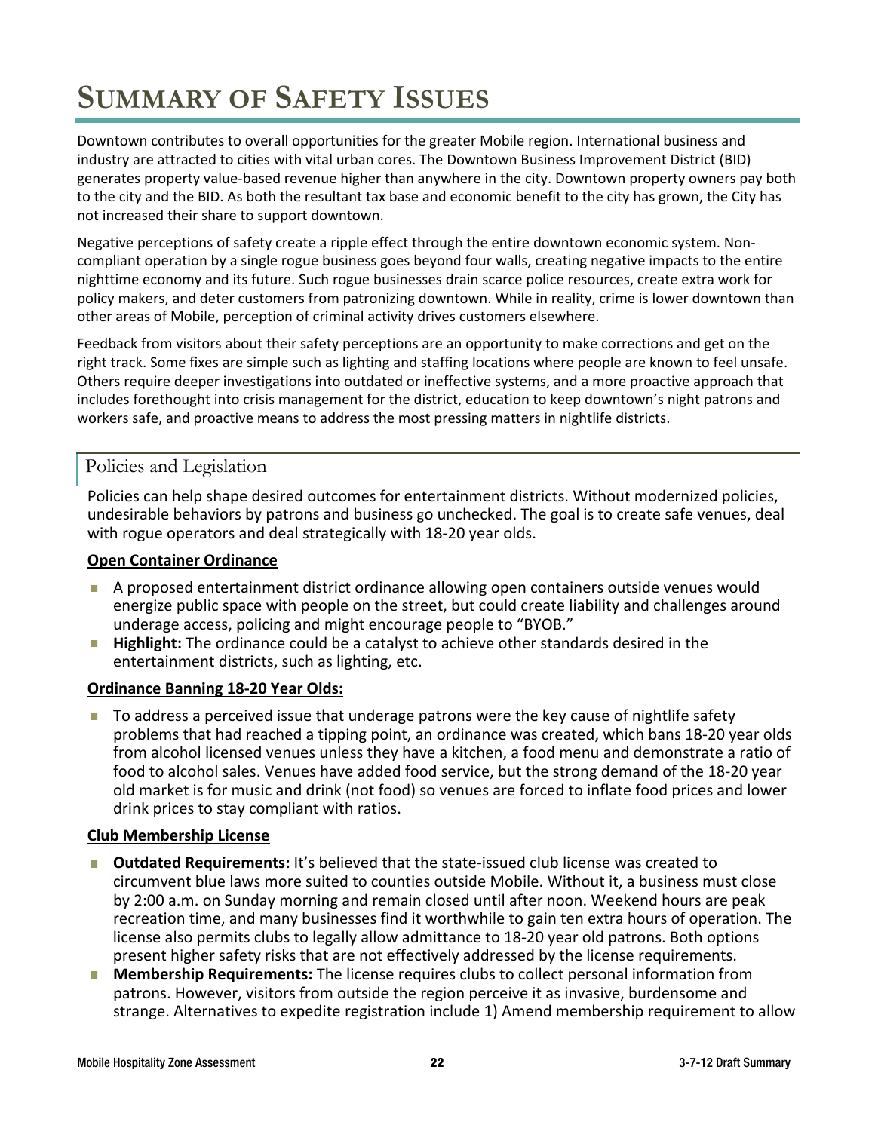# **SUMMARY OF SAFETY ISSUES**

Downtown contributes to overall opportunities for the greater Mobile region. International business and industry are attracted to cities with vital urban cores. The Downtown Business Improvement District (BID) generates property value‐based revenue higher than anywhere in the city. Downtown property owners pay both to the city and the BID. As both the resultant tax base and economic benefit to the city has grown, the City has not increased their share to support downtown.

Negative perceptions of safety create a ripple effect through the entire downtown economic system. Non‐ compliant operation by a single rogue business goes beyond four walls, creating negative impacts to the entire nighttime economy and its future. Such rogue businesses drain scarce police resources, create extra work for policy makers, and deter customers from patronizing downtown. While in reality, crime is lower downtown than other areas of Mobile, perception of criminal activity drives customers elsewhere.

Feedback from visitors about their safety perceptions are an opportunity to make corrections and get on the right track. Some fixes are simple such as lighting and staffing locations where people are known to feel unsafe. Others require deeper investigations into outdated or ineffective systems, and a more proactive approach that includes forethought into crisis management for the district, education to keep downtown's night patrons and workers safe, and proactive means to address the most pressing matters in nightlife districts.

## Policies and Legislation

Policies can help shape desired outcomes for entertainment districts. Without modernized policies, undesirable behaviors by patrons and business go unchecked. The goal is to create safe venues, deal with rogue operators and deal strategically with 18‐20 year olds.

#### **Open Container Ordinance**

- $\blacksquare$ A proposed entertainment district ordinance allowing open containers outside venues would energize public space with people on the street, but could create liability and challenges around underage access, policing and might encourage people to "BYOB."
- **Highlight:** The ordinance could be a catalyst to achieve other standards desired in the entertainment districts, such as lighting, etc.

#### **Ordinance Banning 18‐20 Year Olds:**

To address a perceived issue that underage patrons were the key cause of nightlife safety problems that had reached a tipping point, an ordinance was created, which bans 18‐20 year olds from alcohol licensed venues unless they have a kitchen, a food menu and demonstrate a ratio of food to alcohol sales. Venues have added food service, but the strong demand of the 18‐20 year old market is for music and drink (not food) so venues are forced to inflate food prices and lower drink prices to stay compliant with ratios.

#### **Club Membership License**

- **Outdated Requirements:** It's believed that the state‐issued club license was created to circumvent blue laws more suited to counties outside Mobile. Without it, a business must close by 2:00 a.m. on Sunday morning and remain closed until after noon. Weekend hours are peak recreation time, and many businesses find it worthwhile to gain ten extra hours of operation. The license also permits clubs to legally allow admittance to 18‐20 year old patrons. Both options present higher safety risks that are not effectively addressed by the license requirements.
- **Membership Requirements:** The license requires clubs to collect personal information from  $\mathcal{L}_{\mathcal{A}}$ patrons. However, visitors from outside the region perceive it as invasive, burdensome and strange. Alternatives to expedite registration include 1) Amend membership requirement to allow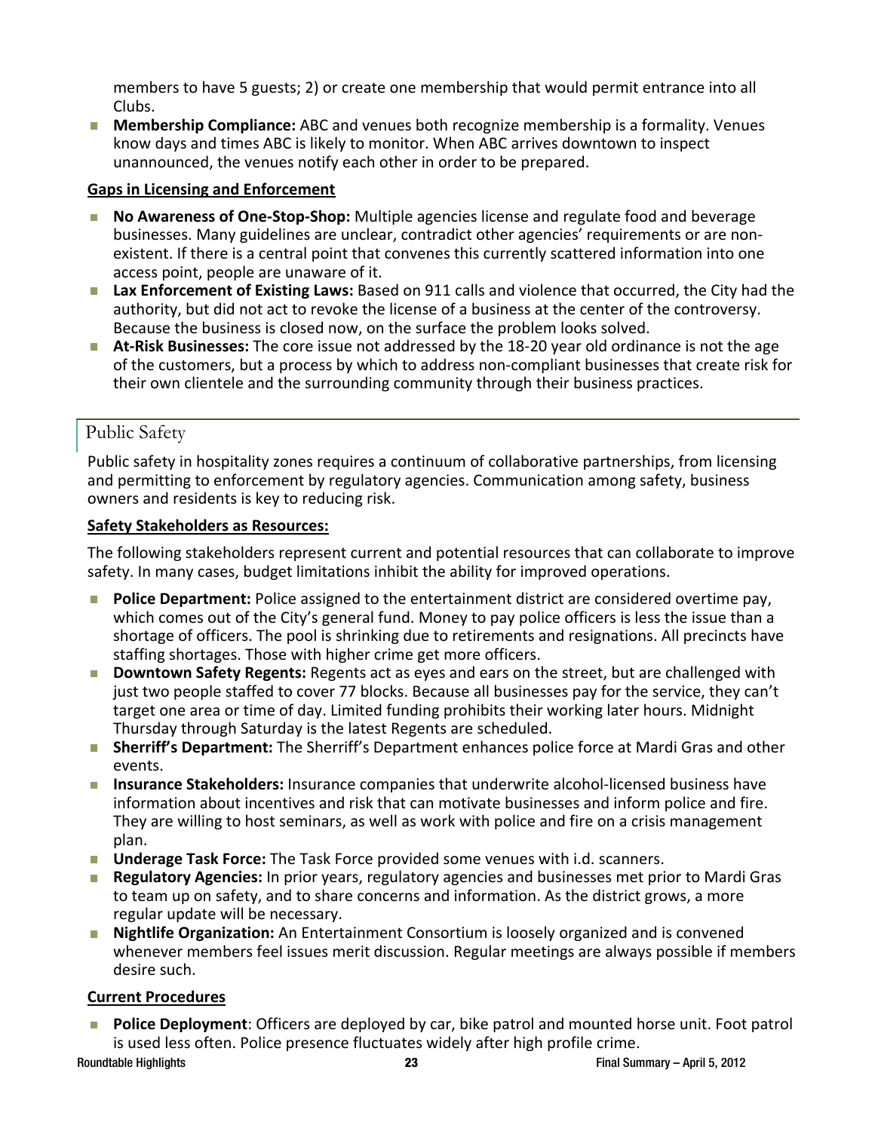members to have 5 guests; 2) or create one membership that would permit entrance into all Clubs.

**Membership Compliance:** ABC and venues both recognize membership is a formality. Venues  $\Box$ know days and times ABC is likely to monitor. When ABC arrives downtown to inspect unannounced, the venues notify each other in order to be prepared.

### **Gaps in Licensing and Enforcement**

- **No Awareness of One‐Stop‐Shop:** Multiple agencies license and regulate food and beverage  $\overline{\phantom{a}}$ businesses. Many guidelines are unclear, contradict other agencies' requirements or are non‐ existent. If there is a central point that convenes this currently scattered information into one access point, people are unaware of it.
- **Lax Enforcement of Existing Laws:** Based on 911 calls and violence that occurred, the City had the authority, but did not act to revoke the license of a business at the center of the controversy. Because the business is closed now, on the surface the problem looks solved.
- **At-Risk Businesses:** The core issue not addressed by the 18-20 year old ordinance is not the age of the customers, but a process by which to address non‐compliant businesses that create risk for their own clientele and the surrounding community through their business practices.

## Public Safety

Public safety in hospitality zones requires a continuum of collaborative partnerships, from licensing and permitting to enforcement by regulatory agencies. Communication among safety, business owners and residents is key to reducing risk.

### **Safety Stakeholders as Resources:**

The following stakeholders represent current and potential resources that can collaborate to improve safety. In many cases, budget limitations inhibit the ability for improved operations.

- **Police Department:** Police assigned to the entertainment district are considered overtime pay, which comes out of the City's general fund. Money to pay police officers is less the issue than a shortage of officers. The pool is shrinking due to retirements and resignations. All precincts have staffing shortages. Those with higher crime get more officers.
- $\blacksquare$ **Downtown Safety Regents:** Regents act as eyes and ears on the street, but are challenged with just two people staffed to cover 77 blocks. Because all businesses pay for the service, they can't target one area or time of day. Limited funding prohibits their working later hours. Midnight Thursday through Saturday is the latest Regents are scheduled.
- **Sherriff's Department:** The Sherriff's Department enhances police force at Mardi Gras and other events.
- **Insurance Stakeholders:** Insurance companies that underwrite alcohol‐licensed business have  $\Box$  . information about incentives and risk that can motivate businesses and inform police and fire. They are willing to host seminars, as well as work with police and fire on a crisis management plan.
- **Underage Task Force:** The Task Force provided some venues with i.d. scanners.
- **Regulatory Agencies:** In prior years, regulatory agencies and businesses met prior to Mardi Gras to team up on safety, and to share concerns and information. As the district grows, a more regular update will be necessary.
- **Nightlife Organization:** An Entertainment Consortium is loosely organized and is convened  $\mathcal{L}_{\mathcal{A}}$ whenever members feel issues merit discussion. Regular meetings are always possible if members desire such.

## **Current Procedures**

**Police Deployment**: Officers are deployed by car, bike patrol and mounted horse unit. Foot patrol  $\overline{\phantom{a}}$ is used less often. Police presence fluctuates widely after high profile crime.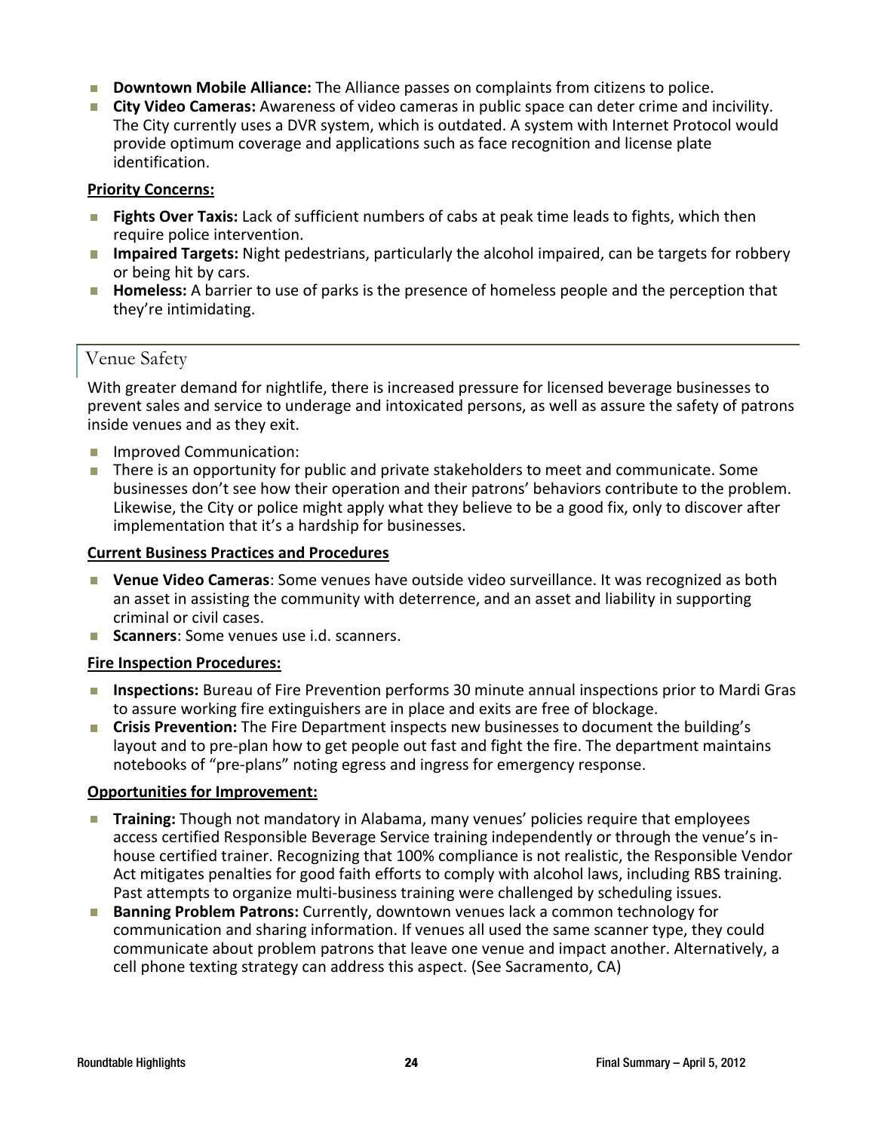- **Downtown Mobile Alliance:** The Alliance passes on complaints from citizens to police.  $\overline{\phantom{a}}$
- **City Video Cameras:** Awareness of video cameras in public space can deter crime and incivility. The City currently uses a DVR system, which is outdated. A system with Internet Protocol would provide optimum coverage and applications such as face recognition and license plate identification.

#### **Priority Concerns:**

- **Fights Over Taxis:** Lack of sufficient numbers of cabs at peak time leads to fights, which then require police intervention.
- **Impaired Targets:** Night pedestrians, particularly the alcohol impaired, can be targets for robbery or being hit by cars.
- **Homeless:** A barrier to use of parks is the presence of homeless people and the perception that they're intimidating.

#### Venue Safety

With greater demand for nightlife, there is increased pressure for licensed beverage businesses to prevent sales and service to underage and intoxicated persons, as well as assure the safety of patrons inside venues and as they exit.

- **Improved Communication:**
- There is an opportunity for public and private stakeholders to meet and communicate. Some businesses don't see how their operation and their patrons' behaviors contribute to the problem. Likewise, the City or police might apply what they believe to be a good fix, only to discover after implementation that it's a hardship for businesses.

#### **Current Business Practices and Procedures**

- **Venue Video Cameras**: Some venues have outside video surveillance. It was recognized as both an asset in assisting the community with deterrence, and an asset and liability in supporting criminal or civil cases.
- **Scanners:** Some venues use i.d. scanners.

#### **Fire Inspection Procedures:**

- **Inspections:** Bureau of Fire Prevention performs 30 minute annual inspections prior to Mardi Gras to assure working fire extinguishers are in place and exits are free of blockage.
- **Crisis Prevention:** The Fire Department inspects new businesses to document the building's layout and to pre‐plan how to get people out fast and fight the fire. The department maintains notebooks of "pre‐plans" noting egress and ingress for emergency response.

#### **Opportunities for Improvement:**

- **Training:** Though not mandatory in Alabama, many venues' policies require that employees  $\Box$ access certified Responsible Beverage Service training independently or through the venue's in‐ house certified trainer. Recognizing that 100% compliance is not realistic, the Responsible Vendor Act mitigates penalties for good faith efforts to comply with alcohol laws, including RBS training. Past attempts to organize multi‐business training were challenged by scheduling issues.
- **Banning Problem Patrons:** Currently, downtown venues lack a common technology for  $\Box$ communication and sharing information. If venues all used the same scanner type, they could communicate about problem patrons that leave one venue and impact another. Alternatively, a cell phone texting strategy can address this aspect. (See Sacramento, CA)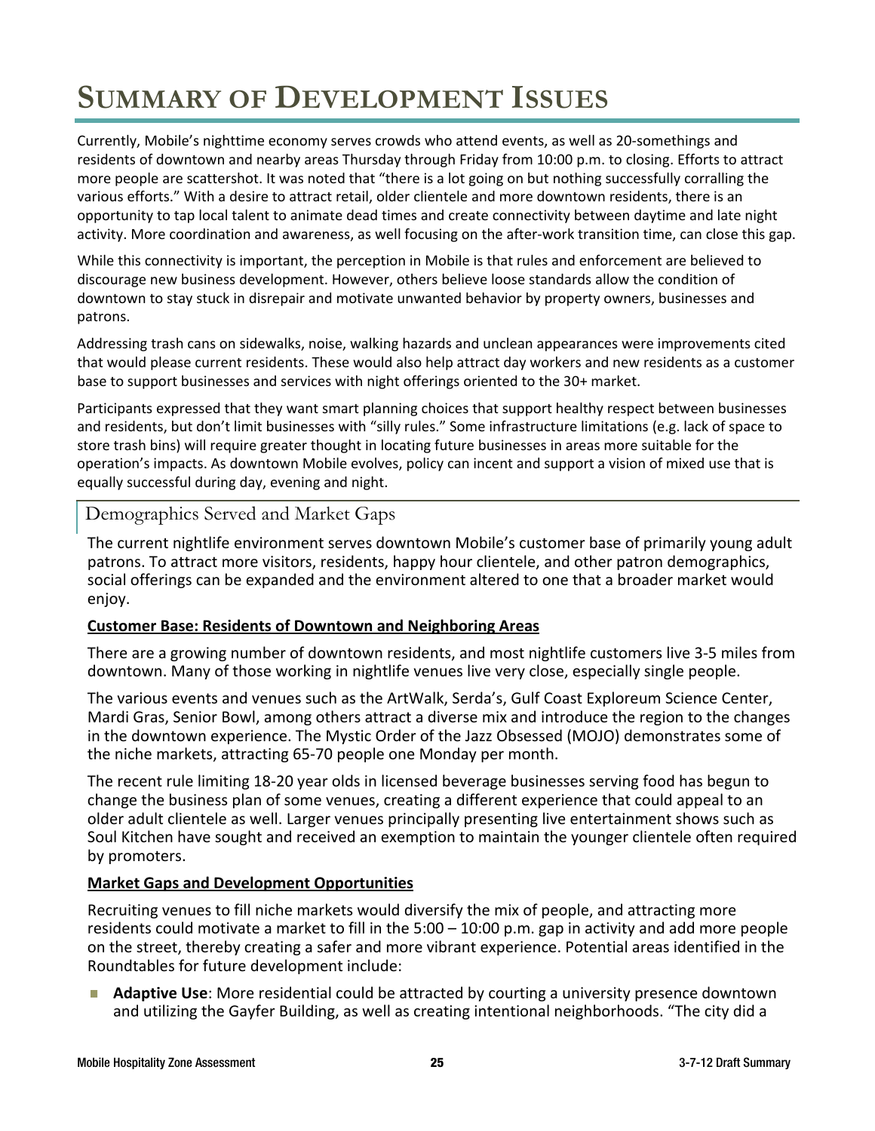## **SUMMARY OF DEVELOPMENT ISSUES**

Currently, Mobile's nighttime economy serves crowds who attend events, as well as 20‐somethings and residents of downtown and nearby areas Thursday through Friday from 10:00 p.m. to closing. Efforts to attract more people are scattershot. It was noted that "there is a lot going on but nothing successfully corralling the various efforts." With a desire to attract retail, older clientele and more downtown residents, there is an opportunity to tap local talent to animate dead times and create connectivity between daytime and late night activity. More coordination and awareness, as well focusing on the after‐work transition time, can close this gap.

While this connectivity is important, the perception in Mobile is that rules and enforcement are believed to discourage new business development. However, others believe loose standards allow the condition of downtown to stay stuck in disrepair and motivate unwanted behavior by property owners, businesses and patrons.

Addressing trash cans on sidewalks, noise, walking hazards and unclean appearances were improvements cited that would please current residents. These would also help attract day workers and new residents as a customer base to support businesses and services with night offerings oriented to the 30+ market.

Participants expressed that they want smart planning choices that support healthy respect between businesses and residents, but don't limit businesses with "silly rules." Some infrastructure limitations (e.g. lack of space to store trash bins) will require greater thought in locating future businesses in areas more suitable for the operation's impacts. As downtown Mobile evolves, policy can incent and support a vision of mixed use that is equally successful during day, evening and night.

### Demographics Served and Market Gaps

The current nightlife environment serves downtown Mobile's customer base of primarily young adult patrons. To attract more visitors, residents, happy hour clientele, and other patron demographics, social offerings can be expanded and the environment altered to one that a broader market would enjoy.

#### **Customer Base: Residents of Downtown and Neighboring Areas**

There are a growing number of downtown residents, and most nightlife customers live 3‐5 miles from downtown. Many of those working in nightlife venues live very close, especially single people.

The various events and venues such as the ArtWalk, Serda's, Gulf Coast Exploreum Science Center, Mardi Gras, Senior Bowl, among others attract a diverse mix and introduce the region to the changes in the downtown experience. The Mystic Order of the Jazz Obsessed (MOJO) demonstrates some of the niche markets, attracting 65‐70 people one Monday per month.

The recent rule limiting 18‐20 year olds in licensed beverage businesses serving food has begun to change the business plan of some venues, creating a different experience that could appeal to an older adult clientele as well. Larger venues principally presenting live entertainment shows such as Soul Kitchen have sought and received an exemption to maintain the younger clientele often required by promoters.

#### **Market Gaps and Development Opportunities**

Recruiting venues to fill niche markets would diversify the mix of people, and attracting more residents could motivate a market to fill in the 5:00 – 10:00 p.m. gap in activity and add more people on the street, thereby creating a safer and more vibrant experience. Potential areas identified in the Roundtables for future development include:

**Adaptive Use**: More residential could be attracted by courting a university presence downtown m. and utilizing the Gayfer Building, as well as creating intentional neighborhoods. "The city did a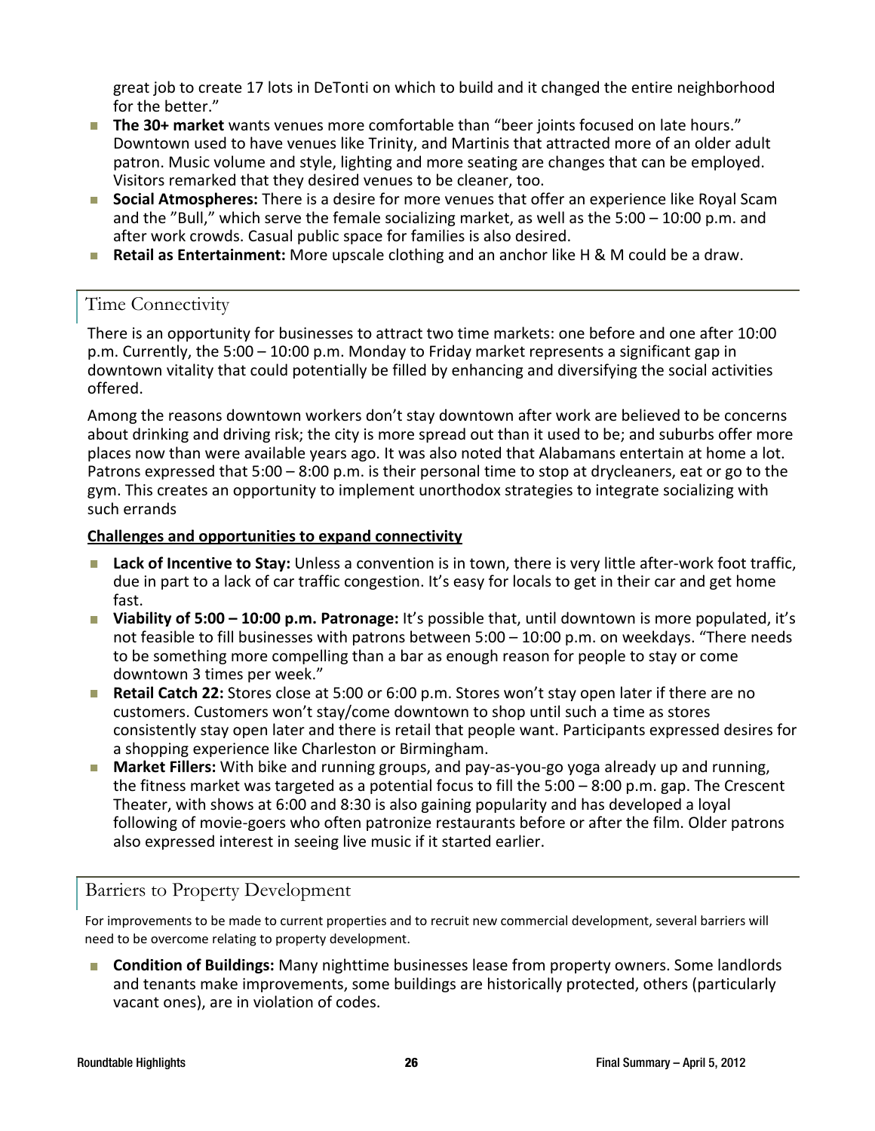great job to create 17 lots in DeTonti on which to build and it changed the entire neighborhood for the better."

- The 30+ market wants venues more comfortable than "beer joints focused on late hours." Downtown used to have venues like Trinity, and Martinis that attracted more of an older adult patron. Music volume and style, lighting and more seating are changes that can be employed. Visitors remarked that they desired venues to be cleaner, too.
- **Social Atmospheres:** There is a desire for more venues that offer an experience like Royal Scam  $\overline{\phantom{a}}$ and the "Bull," which serve the female socializing market, as well as the 5:00 – 10:00 p.m. and after work crowds. Casual public space for families is also desired.
- **Retail as Entertainment:** More upscale clothing and an anchor like H & M could be a draw.

## Time Connectivity

There is an opportunity for businesses to attract two time markets: one before and one after 10:00 p.m. Currently, the 5:00 – 10:00 p.m. Monday to Friday market represents a significant gap in downtown vitality that could potentially be filled by enhancing and diversifying the social activities offered.

Among the reasons downtown workers don't stay downtown after work are believed to be concerns about drinking and driving risk; the city is more spread out than it used to be; and suburbs offer more places now than were available years ago. It was also noted that Alabamans entertain at home a lot. Patrons expressed that 5:00 – 8:00 p.m. is their personal time to stop at drycleaners, eat or go to the gym. This creates an opportunity to implement unorthodox strategies to integrate socializing with such errands

### **Challenges and opportunities to expand connectivity**

- Lack of Incentive to Stay: Unless a convention is in town, there is very little after-work foot traffic, due in part to a lack of car traffic congestion. It's easy for locals to get in their car and get home fast.
- **Viability of 5:00 – 10:00 p.m. Patronage:** It's possible that, until downtown is more populated, it's T. not feasible to fill businesses with patrons between 5:00 – 10:00 p.m. on weekdays. "There needs to be something more compelling than a bar as enough reason for people to stay or come downtown 3 times per week."
- **Retail Catch 22:** Stores close at 5:00 or 6:00 p.m. Stores won't stay open later if there are no  $\overline{\phantom{a}}$ customers. Customers won't stay/come downtown to shop until such a time as stores consistently stay open later and there is retail that people want. Participants expressed desires for a shopping experience like Charleston or Birmingham.
- $\overline{\phantom{a}}$ **Market Fillers:** With bike and running groups, and pay‐as‐you‐go yoga already up and running, the fitness market was targeted as a potential focus to fill the 5:00 – 8:00 p.m. gap. The Crescent Theater, with shows at 6:00 and 8:30 is also gaining popularity and has developed a loyal following of movie‐goers who often patronize restaurants before or after the film. Older patrons also expressed interest in seeing live music if it started earlier.

## Barriers to Property Development

For improvements to be made to current properties and to recruit new commercial development, several barriers will need to be overcome relating to property development.

**Condition of Buildings:** Many nighttime businesses lease from property owners. Some landlords n. and tenants make improvements, some buildings are historically protected, others (particularly vacant ones), are in violation of codes.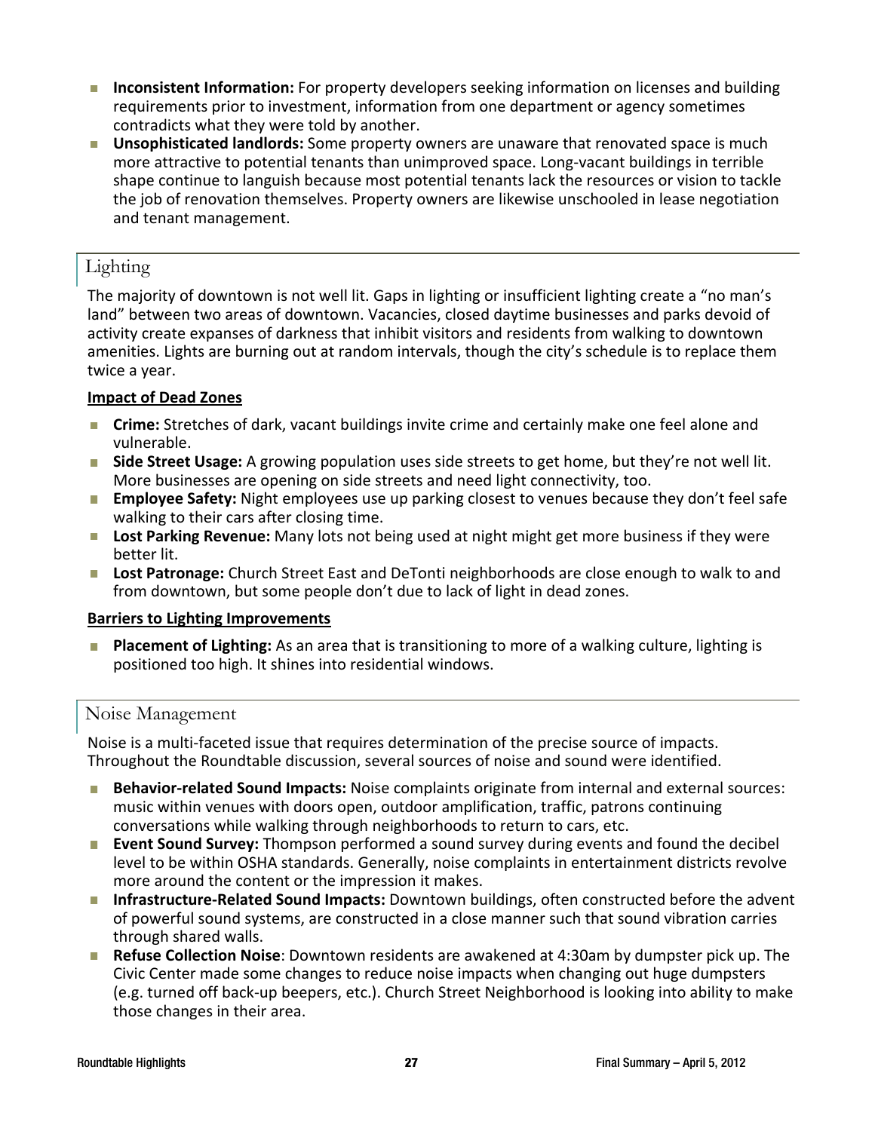- **Inconsistent Information:** For property developers seeking information on licenses and building  $\overline{\phantom{a}}$ requirements prior to investment, information from one department or agency sometimes contradicts what they were told by another.
- $\mathcal{L}_{\mathcal{A}}$ **Unsophisticated landlords:** Some property owners are unaware that renovated space is much more attractive to potential tenants than unimproved space. Long‐vacant buildings in terrible shape continue to languish because most potential tenants lack the resources or vision to tackle the job of renovation themselves. Property owners are likewise unschooled in lease negotiation and tenant management.

### Lighting

The majority of downtown is not well lit. Gaps in lighting or insufficient lighting create a "no man's land" between two areas of downtown. Vacancies, closed daytime businesses and parks devoid of activity create expanses of darkness that inhibit visitors and residents from walking to downtown amenities. Lights are burning out at random intervals, though the city's schedule is to replace them twice a year.

#### **Impact of Dead Zones**

- **Crime:** Stretches of dark, vacant buildings invite crime and certainly make one feel alone and vulnerable.
- **Side Street Usage:** A growing population uses side streets to get home, but they're not well lit. More businesses are opening on side streets and need light connectivity, too.
- **Employee Safety:** Night employees use up parking closest to venues because they don't feel safe walking to their cars after closing time.
- **Lost Parking Revenue:** Many lots not being used at night might get more business if they were better lit.
- **Lost Patronage:** Church Street East and DeTonti neighborhoods are close enough to walk to and  $\Box$ from downtown, but some people don't due to lack of light in dead zones.

#### **Barriers to Lighting Improvements**

**Placement of Lighting:** As an area that is transitioning to more of a walking culture, lighting is positioned too high. It shines into residential windows.

#### Noise Management

Noise is a multi‐faceted issue that requires determination of the precise source of impacts. Throughout the Roundtable discussion, several sources of noise and sound were identified.

- **Behavior‐related Sound Impacts:** Noise complaints originate from internal and external sources:  $\overline{\phantom{a}}$ music within venues with doors open, outdoor amplification, traffic, patrons continuing conversations while walking through neighborhoods to return to cars, etc.
- **Event Sound Survey:** Thompson performed a sound survey during events and found the decibel  $\Box$ level to be within OSHA standards. Generally, noise complaints in entertainment districts revolve more around the content or the impression it makes.
- **Infrastructure-Related Sound Impacts:** Downtown buildings, often constructed before the advent of powerful sound systems, are constructed in a close manner such that sound vibration carries through shared walls.
- **Refuse Collection Noise**: Downtown residents are awakened at 4:30am by dumpster pick up. The  $\Box$ Civic Center made some changes to reduce noise impacts when changing out huge dumpsters (e.g. turned off back‐up beepers, etc.). Church Street Neighborhood is looking into ability to make those changes in their area.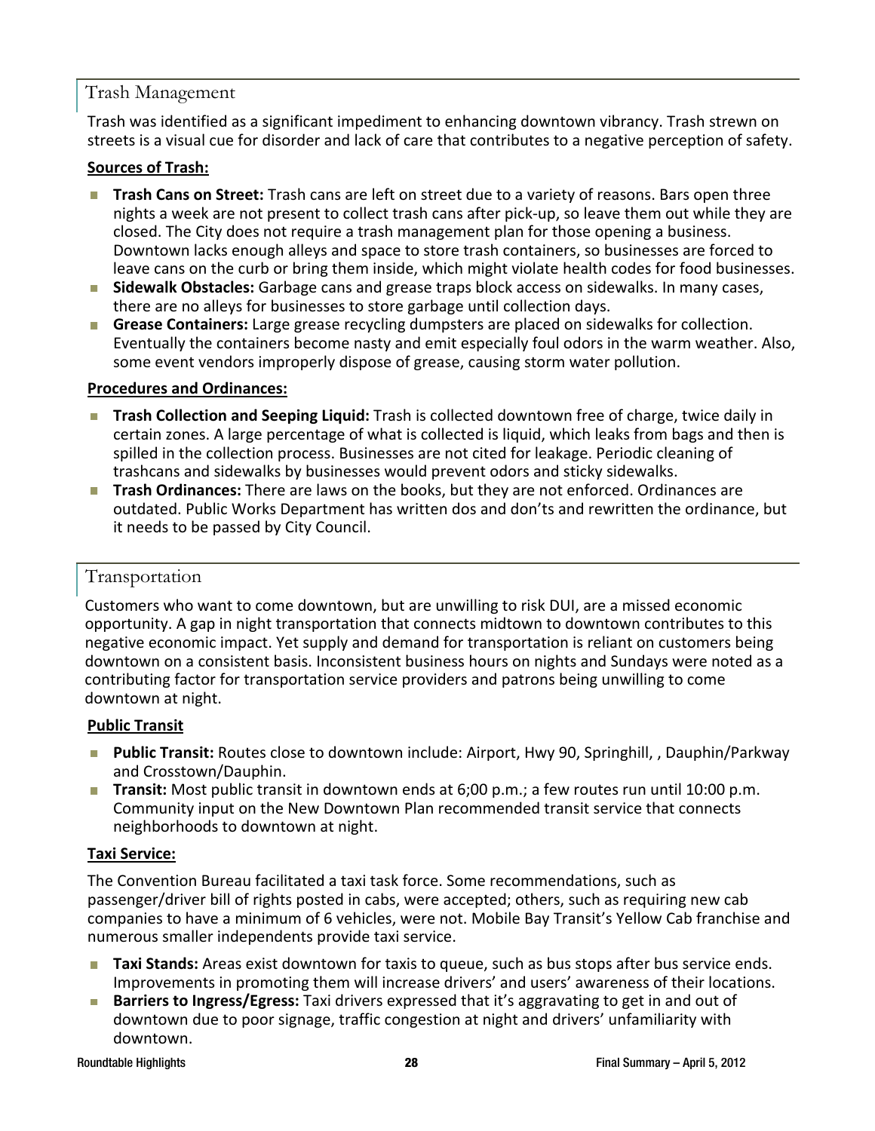## Trash Management

Trash was identified as a significant impediment to enhancing downtown vibrancy. Trash strewn on streets is a visual cue for disorder and lack of care that contributes to a negative perception of safety.

### **Sources of Trash:**

- **Trash Cans on Street:** Trash cans are left on street due to a variety of reasons. Bars open three nights a week are not present to collect trash cans after pick‐up, so leave them out while they are closed. The City does not require a trash management plan for those opening a business. Downtown lacks enough alleys and space to store trash containers, so businesses are forced to leave cans on the curb or bring them inside, which might violate health codes for food businesses.
- **Sidewalk Obstacles:** Garbage cans and grease traps block access on sidewalks. In many cases,  $\Box$  . there are no alleys for businesses to store garbage until collection days.
- **Grease Containers:** Large grease recycling dumpsters are placed on sidewalks for collection. Eventually the containers become nasty and emit especially foul odors in the warm weather. Also, some event vendors improperly dispose of grease, causing storm water pollution.

### **Procedures and Ordinances:**

- $\overline{\phantom{a}}$ **Trash Collection and Seeping Liquid:** Trash is collected downtown free of charge, twice daily in certain zones. A large percentage of what is collected is liquid, which leaks from bags and then is spilled in the collection process. Businesses are not cited for leakage. Periodic cleaning of trashcans and sidewalks by businesses would prevent odors and sticky sidewalks.
- **Trash Ordinances:** There are laws on the books, but they are not enforced. Ordinances are  $\Box$ outdated. Public Works Department has written dos and don'ts and rewritten the ordinance, but it needs to be passed by City Council.

## Transportation

Customers who want to come downtown, but are unwilling to risk DUI, are a missed economic opportunity. A gap in night transportation that connects midtown to downtown contributes to this negative economic impact. Yet supply and demand for transportation is reliant on customers being downtown on a consistent basis. Inconsistent business hours on nights and Sundays were noted as a contributing factor for transportation service providers and patrons being unwilling to come downtown at night.

#### **Public Transit**

- **Public Transit:** Routes close to downtown include: Airport, Hwy 90, Springhill, , Dauphin/Parkway and Crosstown/Dauphin.
- **Transit:** Most public transit in downtown ends at 6;00 p.m.; a few routes run until 10:00 p.m. Community input on the New Downtown Plan recommended transit service that connects neighborhoods to downtown at night.

#### **Taxi Service:**

The Convention Bureau facilitated a taxi task force. Some recommendations, such as passenger/driver bill of rights posted in cabs, were accepted; others, such as requiring new cab companies to have a minimum of 6 vehicles, were not. Mobile Bay Transit's Yellow Cab franchise and numerous smaller independents provide taxi service.

- **Taxi Stands:** Areas exist downtown for taxis to queue, such as bus stops after bus service ends. Improvements in promoting them will increase drivers' and users' awareness of their locations.
- **Barriers to Ingress/Egress:** Taxi drivers expressed that it's aggravating to get in and out of  $\overline{\phantom{a}}$ downtown due to poor signage, traffic congestion at night and drivers' unfamiliarity with downtown.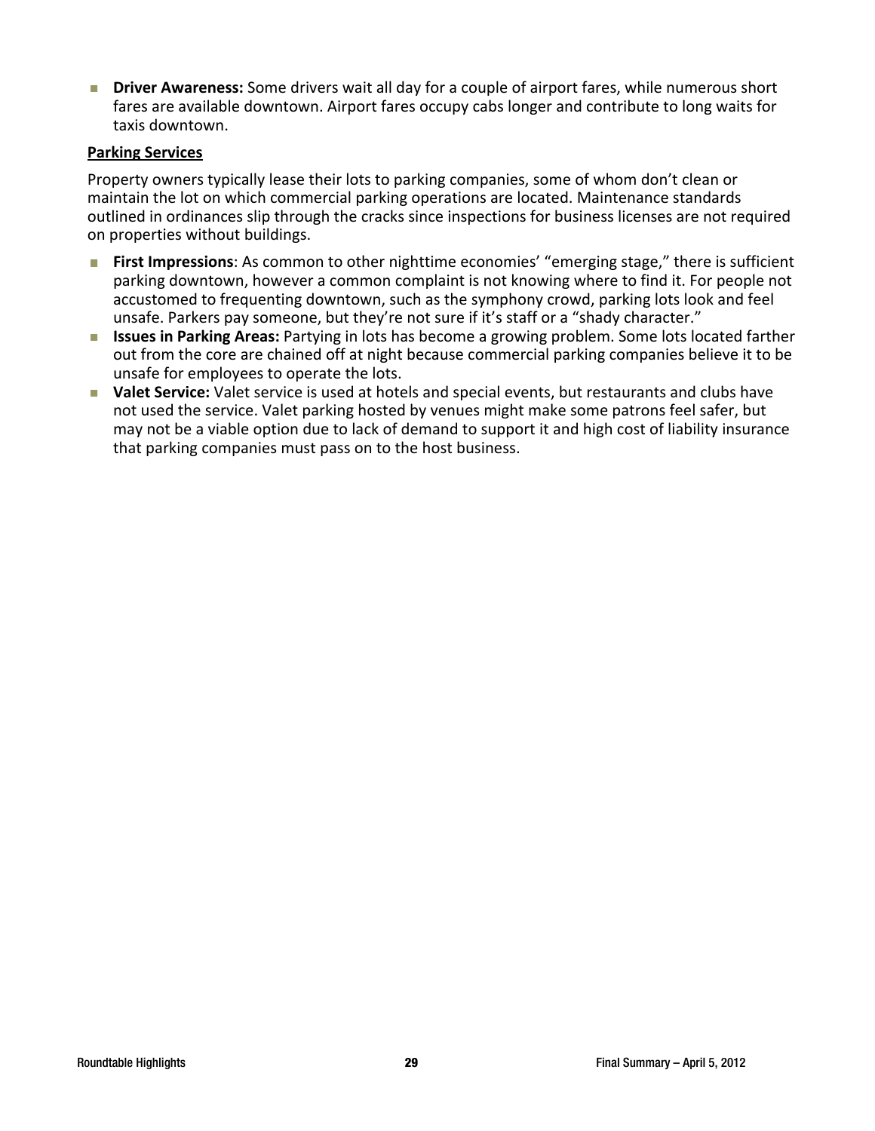**Driver Awareness:** Some drivers wait all day for a couple of airport fares, while numerous short  $\overline{\phantom{a}}$ fares are available downtown. Airport fares occupy cabs longer and contribute to long waits for taxis downtown.

#### **Parking Services**

Property owners typically lease their lots to parking companies, some of whom don't clean or maintain the lot on which commercial parking operations are located. Maintenance standards outlined in ordinances slip through the cracks since inspections for business licenses are not required on properties without buildings.

- **First Impressions**: As common to other nighttime economies' "emerging stage," there is sufficient parking downtown, however a common complaint is not knowing where to find it. For people not accustomed to frequenting downtown, such as the symphony crowd, parking lots look and feel unsafe. Parkers pay someone, but they're not sure if it's staff or a "shady character."
- $\overline{\phantom{a}}$ **Issues in Parking Areas:** Partying in lots has become a growing problem. Some lots located farther out from the core are chained off at night because commercial parking companies believe it to be unsafe for employees to operate the lots.
- $\mathbb{R}^n$ **Valet Service:** Valet service is used at hotels and special events, but restaurants and clubs have not used the service. Valet parking hosted by venues might make some patrons feel safer, but may not be a viable option due to lack of demand to support it and high cost of liability insurance that parking companies must pass on to the host business.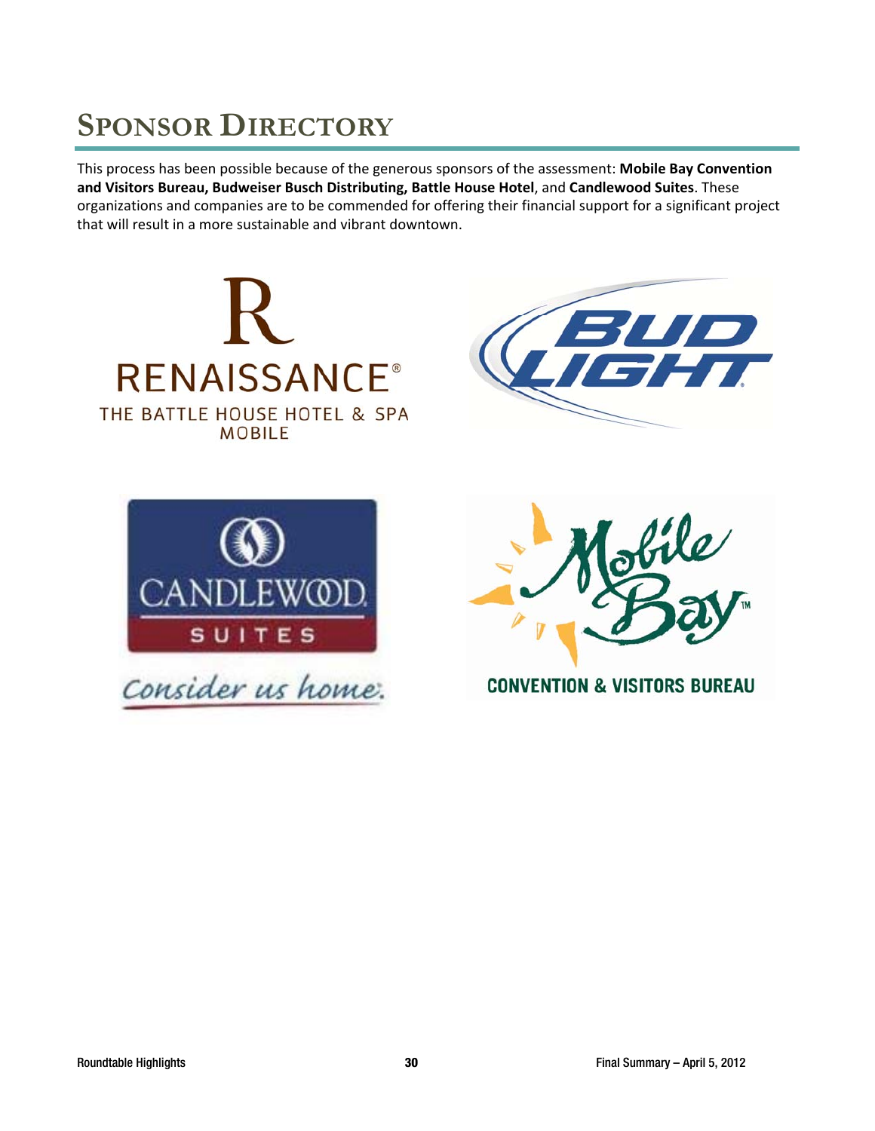## **SPONSOR DIRECTORY**

This process has been possible because of the generous sponsors of the assessment: **Mobile Bay Convention and Visitors Bureau, Budweiser Busch Distributing, Battle House Hotel**, and **Candlewood Suites**. These organizations and companies are to be commended for offering their financial support for a significant project that will result in a more sustainable and vibrant downtown.









## **CONVENTION & VISITORS BUREAU**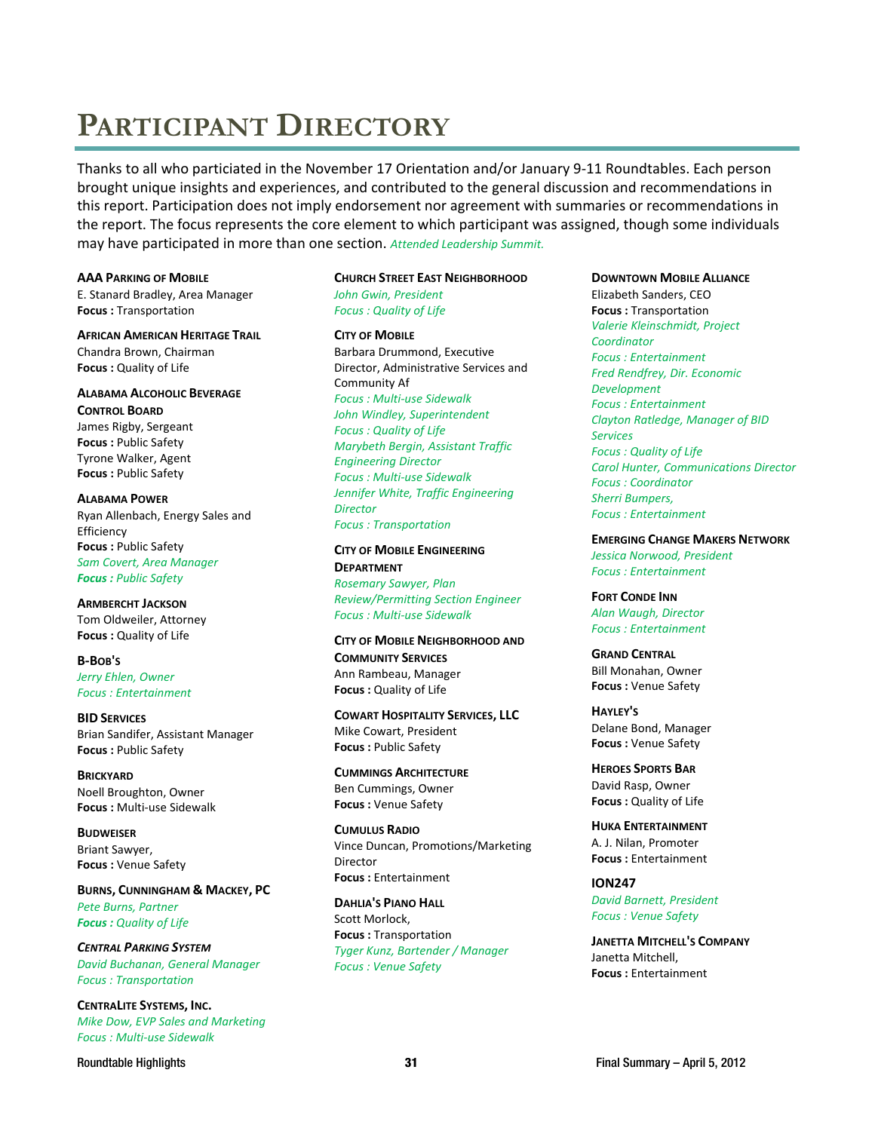## **PARTICIPANT DIRECTORY**

Thanks to all who particiated in the November 17 Orientation and/or January 9‐11 Roundtables. Each person brought unique insights and experiences, and contributed to the general discussion and recommendations in this report. Participation does not imply endorsement nor agreement with summaries or recommendations in the report. The focus represents the core element to which participant was assigned, though some individuals may have participated in more than one section. *Attended Leadership Summit.*

#### **AAA PARKING OF MOBILE**

E. Stanard Bradley, Area Manager **Focus :** Transportation

**AFRICAN AMERICAN HERITAGE TRAIL** Chandra Brown, Chairman **Focus :** Quality of Life

**ALABAMA ALCOHOLIC BEVERAGE CONTROL BOARD** James Rigby, Sergeant **Focus :** Public Safety Tyrone Walker, Agent **Focus :** Public Safety

**ALABAMA POWER** Ryan Allenbach, Energy Sales and Efficiency **Focus :** Public Safety *Sam Covert, Area Manager Focus : Public Safety*

**ARMBERCHT JACKSON** Tom Oldweiler, Attorney **Focus :** Quality of Life

**B‐BOB'S** *Jerry Ehlen, Owner Focus : Entertainment*

**BID SERVICES** Brian Sandifer, Assistant Manager **Focus :** Public Safety

**BRICKYARD** Noell Broughton, Owner **Focus :** Multi‐use Sidewalk

**BUDWEISER** Briant Sawyer, **Focus :** Venue Safety

**BURNS, CUNNINGHAM & MACKEY, PC** *Pete Burns, Partner Focus : Quality of Life*

*CENTRAL PARKING SYSTEM David Buchanan, General Manager Focus : Transportation*

**CENTRALITE SYSTEMS, INC.** *Mike Dow, EVP Sales and Marketing Focus : Multi‐use Sidewalk*

#### **CHURCH STREET EAST NEIGHBORHOOD**

*John Gwin, President Focus : Quality of Life*

**CITY OF MOBILE** Barbara Drummond, Executive Director, Administrative Services and Community Af *Focus : Multi‐use Sidewalk John Windley, Superintendent Focus : Quality of Life Marybeth Bergin, Assistant Traffic Engineering Director Focus : Multi‐use Sidewalk Jennifer White, Traffic Engineering Director Focus : Transportation*

**CITY OF MOBILE ENGINEERING DEPARTMENT** *Rosemary Sawyer, Plan*

*Review/Permitting Section Engineer Focus : Multi‐use Sidewalk*

**CITY OF MOBILE NEIGHBORHOOD AND COMMUNITY SERVICES** Ann Rambeau, Manager **Focus :** Quality of Life

**COWART HOSPITALITY SERVICES, LLC** Mike Cowart, President **Focus :** Public Safety

**CUMMINGS ARCHITECTURE** Ben Cummings, Owner **Focus :** Venue Safety

**CUMULUS RADIO** Vince Duncan, Promotions/Marketing Director **Focus :** Entertainment

**DAHLIA'S PIANO HALL** Scott Morlock, **Focus :** Transportation *Tyger Kunz, Bartender / Manager Focus : Venue Safety*

#### **DOWNTOWN MOBILE ALLIANCE**

Elizabeth Sanders, CEO **Focus :** Transportation *Valerie Kleinschmidt, Project Coordinator Focus : Entertainment Fred Rendfrey, Dir. Economic Development Focus : Entertainment Clayton Ratledge, Manager of BID Services Focus : Quality of Life Carol Hunter, Communications Director Focus : Coordinator Sherri Bumpers, Focus : Entertainment*

#### **EMERGING CHANGE MAKERS NETWORK**

*Jessica Norwood, President Focus : Entertainment*

**FORT CONDE INN** *Alan Waugh, Director Focus : Entertainment*

**GRAND CENTRAL** Bill Monahan, Owner **Focus :** Venue Safety

**HAYLEY'S** Delane Bond, Manager **Focus :** Venue Safety

**HEROES SPORTS BAR** David Rasp, Owner **Focus :** Quality of Life

**HUKA ENTERTAINMENT** A. J. Nilan, Promoter **Focus :** Entertainment

**ION247** *David Barnett, President Focus : Venue Safety*

**JANETTA MITCHELL'S COMPANY** Janetta Mitchell, **Focus :** Entertainment